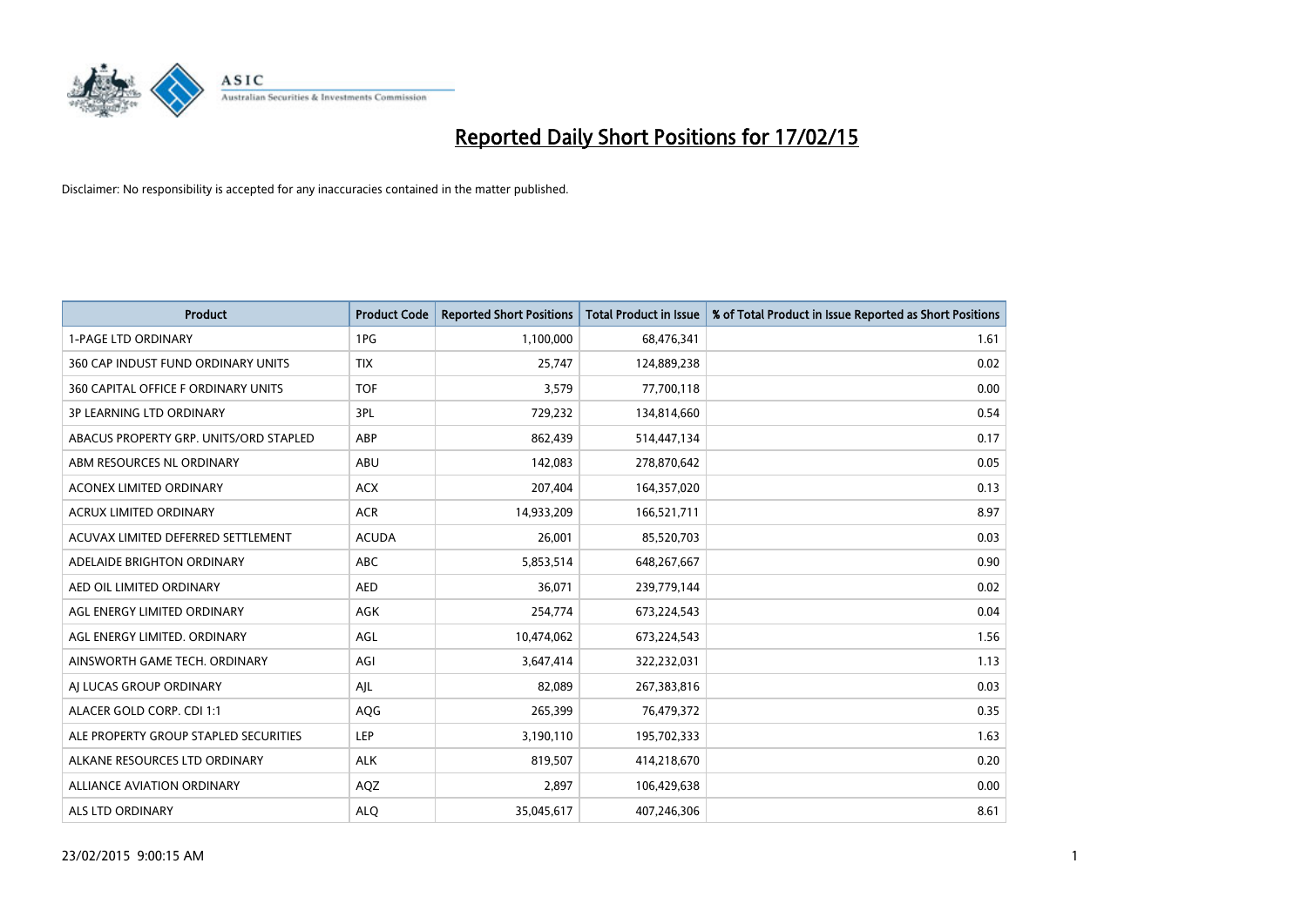

| Product                                | <b>Product Code</b> | <b>Reported Short Positions</b> | <b>Total Product in Issue</b> | % of Total Product in Issue Reported as Short Positions |
|----------------------------------------|---------------------|---------------------------------|-------------------------------|---------------------------------------------------------|
| <b>1-PAGE LTD ORDINARY</b>             | 1PG                 | 1,100,000                       | 68,476,341                    | 1.61                                                    |
| 360 CAP INDUST FUND ORDINARY UNITS     | <b>TIX</b>          | 25,747                          | 124,889,238                   | 0.02                                                    |
| 360 CAPITAL OFFICE F ORDINARY UNITS    | <b>TOF</b>          | 3,579                           | 77,700,118                    | 0.00                                                    |
| <b>3P LEARNING LTD ORDINARY</b>        | 3PL                 | 729,232                         | 134,814,660                   | 0.54                                                    |
| ABACUS PROPERTY GRP. UNITS/ORD STAPLED | ABP                 | 862,439                         | 514,447,134                   | 0.17                                                    |
| ABM RESOURCES NL ORDINARY              | <b>ABU</b>          | 142,083                         | 278,870,642                   | 0.05                                                    |
| <b>ACONEX LIMITED ORDINARY</b>         | <b>ACX</b>          | 207,404                         | 164,357,020                   | 0.13                                                    |
| ACRUX LIMITED ORDINARY                 | <b>ACR</b>          | 14,933,209                      | 166,521,711                   | 8.97                                                    |
| ACUVAX LIMITED DEFERRED SETTLEMENT     | <b>ACUDA</b>        | 26,001                          | 85,520,703                    | 0.03                                                    |
| ADELAIDE BRIGHTON ORDINARY             | <b>ABC</b>          | 5,853,514                       | 648,267,667                   | 0.90                                                    |
| AED OIL LIMITED ORDINARY               | <b>AED</b>          | 36,071                          | 239,779,144                   | 0.02                                                    |
| AGL ENERGY LIMITED ORDINARY            | AGK                 | 254,774                         | 673,224,543                   | 0.04                                                    |
| AGL ENERGY LIMITED. ORDINARY           | AGL                 | 10,474,062                      | 673,224,543                   | 1.56                                                    |
| AINSWORTH GAME TECH. ORDINARY          | AGI                 | 3,647,414                       | 322,232,031                   | 1.13                                                    |
| AI LUCAS GROUP ORDINARY                | AJL                 | 82,089                          | 267,383,816                   | 0.03                                                    |
| ALACER GOLD CORP. CDI 1:1              | AQG                 | 265,399                         | 76,479,372                    | 0.35                                                    |
| ALE PROPERTY GROUP STAPLED SECURITIES  | LEP                 | 3,190,110                       | 195,702,333                   | 1.63                                                    |
| ALKANE RESOURCES LTD ORDINARY          | <b>ALK</b>          | 819,507                         | 414,218,670                   | 0.20                                                    |
| ALLIANCE AVIATION ORDINARY             | AQZ                 | 2,897                           | 106,429,638                   | 0.00                                                    |
| ALS LTD ORDINARY                       | <b>ALO</b>          | 35,045,617                      | 407,246,306                   | 8.61                                                    |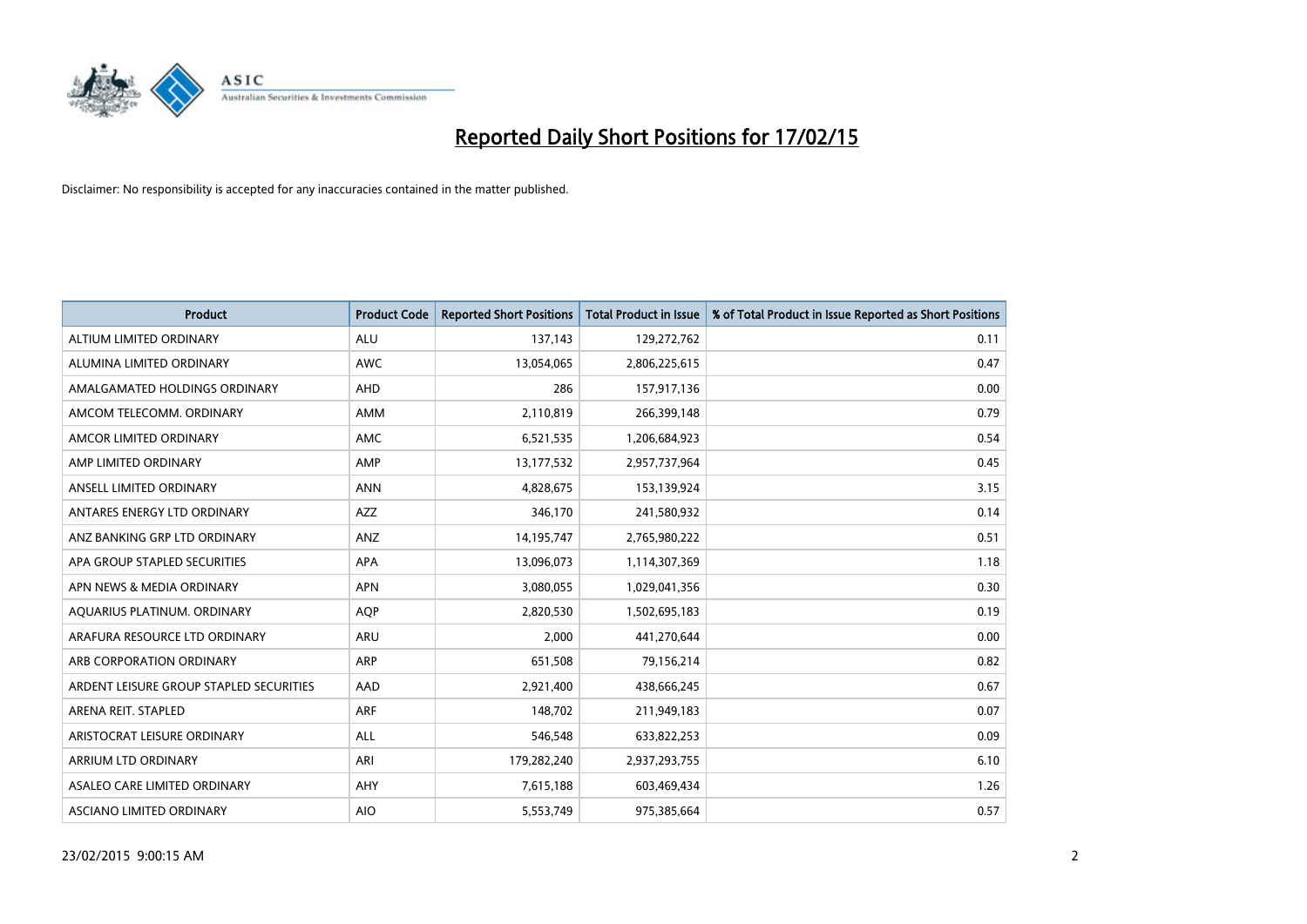

| <b>Product</b>                          | <b>Product Code</b> | <b>Reported Short Positions</b> | <b>Total Product in Issue</b> | % of Total Product in Issue Reported as Short Positions |
|-----------------------------------------|---------------------|---------------------------------|-------------------------------|---------------------------------------------------------|
| ALTIUM LIMITED ORDINARY                 | <b>ALU</b>          | 137,143                         | 129,272,762                   | 0.11                                                    |
| ALUMINA LIMITED ORDINARY                | <b>AWC</b>          | 13,054,065                      | 2,806,225,615                 | 0.47                                                    |
| AMALGAMATED HOLDINGS ORDINARY           | AHD                 | 286                             | 157,917,136                   | 0.00                                                    |
| AMCOM TELECOMM, ORDINARY                | AMM                 | 2,110,819                       | 266,399,148                   | 0.79                                                    |
| AMCOR LIMITED ORDINARY                  | AMC                 | 6,521,535                       | 1,206,684,923                 | 0.54                                                    |
| AMP LIMITED ORDINARY                    | AMP                 | 13, 177, 532                    | 2,957,737,964                 | 0.45                                                    |
| ANSELL LIMITED ORDINARY                 | <b>ANN</b>          | 4,828,675                       | 153,139,924                   | 3.15                                                    |
| ANTARES ENERGY LTD ORDINARY             | AZZ                 | 346,170                         | 241,580,932                   | 0.14                                                    |
| ANZ BANKING GRP LTD ORDINARY            | ANZ                 | 14,195,747                      | 2,765,980,222                 | 0.51                                                    |
| APA GROUP STAPLED SECURITIES            | APA                 | 13,096,073                      | 1,114,307,369                 | 1.18                                                    |
| APN NEWS & MEDIA ORDINARY               | <b>APN</b>          | 3,080,055                       | 1,029,041,356                 | 0.30                                                    |
| AQUARIUS PLATINUM. ORDINARY             | AQP                 | 2,820,530                       | 1,502,695,183                 | 0.19                                                    |
| ARAFURA RESOURCE LTD ORDINARY           | ARU                 | 2,000                           | 441,270,644                   | 0.00                                                    |
| ARB CORPORATION ORDINARY                | ARP                 | 651,508                         | 79,156,214                    | 0.82                                                    |
| ARDENT LEISURE GROUP STAPLED SECURITIES | AAD                 | 2,921,400                       | 438,666,245                   | 0.67                                                    |
| ARENA REIT. STAPLED                     | <b>ARF</b>          | 148,702                         | 211,949,183                   | 0.07                                                    |
| ARISTOCRAT LEISURE ORDINARY             | ALL                 | 546,548                         | 633,822,253                   | 0.09                                                    |
| ARRIUM LTD ORDINARY                     | ARI                 | 179,282,240                     | 2,937,293,755                 | 6.10                                                    |
| ASALEO CARE LIMITED ORDINARY            | AHY                 | 7,615,188                       | 603,469,434                   | 1.26                                                    |
| ASCIANO LIMITED ORDINARY                | <b>AIO</b>          | 5,553,749                       | 975,385,664                   | 0.57                                                    |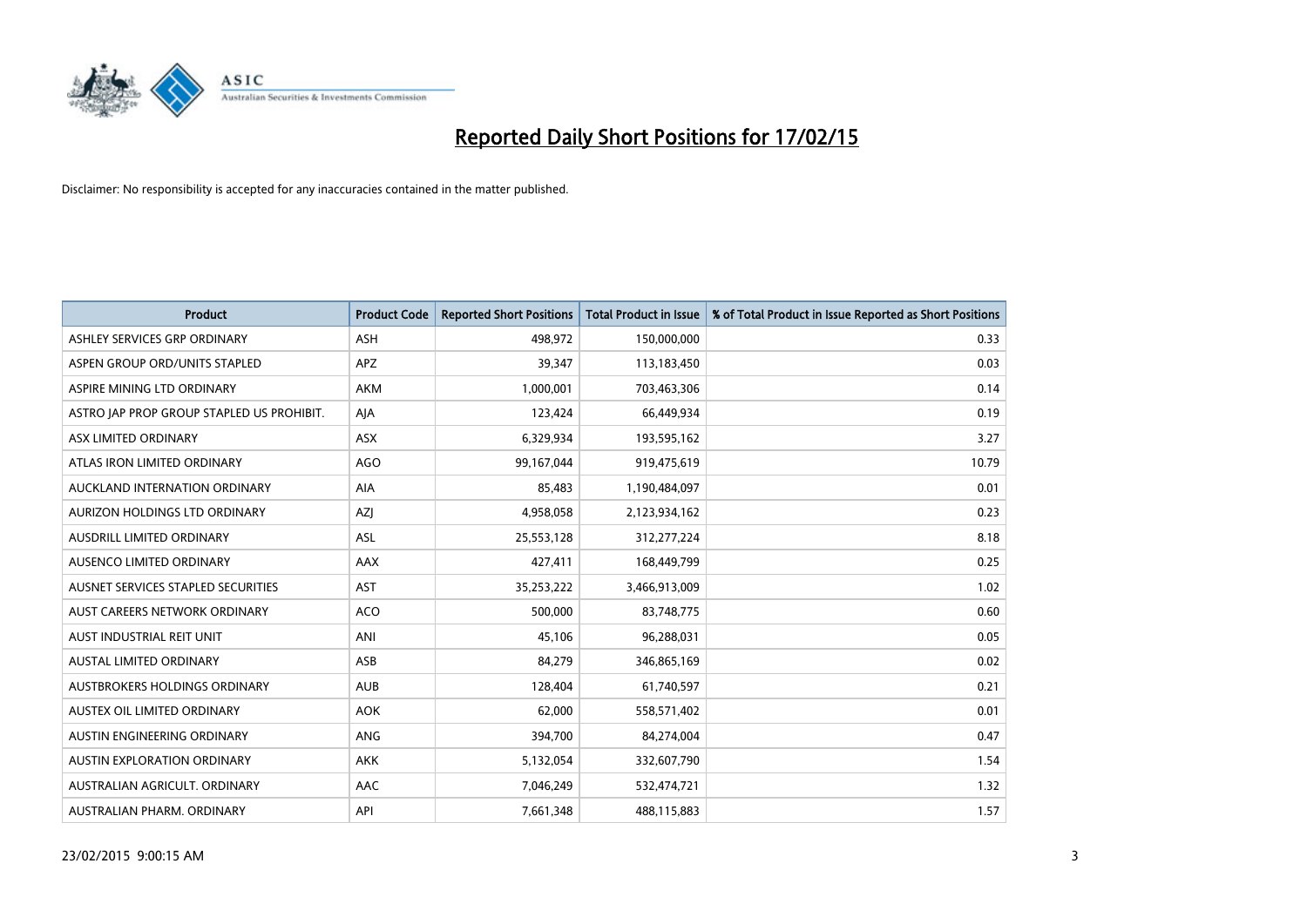

| <b>Product</b>                            | <b>Product Code</b> | <b>Reported Short Positions</b> | <b>Total Product in Issue</b> | % of Total Product in Issue Reported as Short Positions |
|-------------------------------------------|---------------------|---------------------------------|-------------------------------|---------------------------------------------------------|
| ASHLEY SERVICES GRP ORDINARY              | <b>ASH</b>          | 498,972                         | 150,000,000                   | 0.33                                                    |
| ASPEN GROUP ORD/UNITS STAPLED             | APZ                 | 39,347                          | 113,183,450                   | 0.03                                                    |
| ASPIRE MINING LTD ORDINARY                | <b>AKM</b>          | 1,000,001                       | 703,463,306                   | 0.14                                                    |
| ASTRO JAP PROP GROUP STAPLED US PROHIBIT. | AJA                 | 123,424                         | 66,449,934                    | 0.19                                                    |
| ASX LIMITED ORDINARY                      | ASX                 | 6,329,934                       | 193,595,162                   | 3.27                                                    |
| ATLAS IRON LIMITED ORDINARY               | <b>AGO</b>          | 99,167,044                      | 919,475,619                   | 10.79                                                   |
| AUCKLAND INTERNATION ORDINARY             | AIA                 | 85,483                          | 1,190,484,097                 | 0.01                                                    |
| AURIZON HOLDINGS LTD ORDINARY             | AZJ                 | 4,958,058                       | 2,123,934,162                 | 0.23                                                    |
| AUSDRILL LIMITED ORDINARY                 | <b>ASL</b>          | 25,553,128                      | 312,277,224                   | 8.18                                                    |
| AUSENCO LIMITED ORDINARY                  | AAX                 | 427,411                         | 168,449,799                   | 0.25                                                    |
| AUSNET SERVICES STAPLED SECURITIES        | <b>AST</b>          | 35,253,222                      | 3,466,913,009                 | 1.02                                                    |
| AUST CAREERS NETWORK ORDINARY             | <b>ACO</b>          | 500,000                         | 83,748,775                    | 0.60                                                    |
| AUST INDUSTRIAL REIT UNIT                 | ANI                 | 45,106                          | 96,288,031                    | 0.05                                                    |
| <b>AUSTAL LIMITED ORDINARY</b>            | ASB                 | 84,279                          | 346,865,169                   | 0.02                                                    |
| AUSTBROKERS HOLDINGS ORDINARY             | <b>AUB</b>          | 128,404                         | 61,740,597                    | 0.21                                                    |
| AUSTEX OIL LIMITED ORDINARY               | <b>AOK</b>          | 62,000                          | 558,571,402                   | 0.01                                                    |
| AUSTIN ENGINEERING ORDINARY               | ANG                 | 394,700                         | 84,274,004                    | 0.47                                                    |
| AUSTIN EXPLORATION ORDINARY               | <b>AKK</b>          | 5,132,054                       | 332,607,790                   | 1.54                                                    |
| AUSTRALIAN AGRICULT, ORDINARY             | AAC                 | 7,046,249                       | 532,474,721                   | 1.32                                                    |
| AUSTRALIAN PHARM. ORDINARY                | API                 | 7,661,348                       | 488,115,883                   | 1.57                                                    |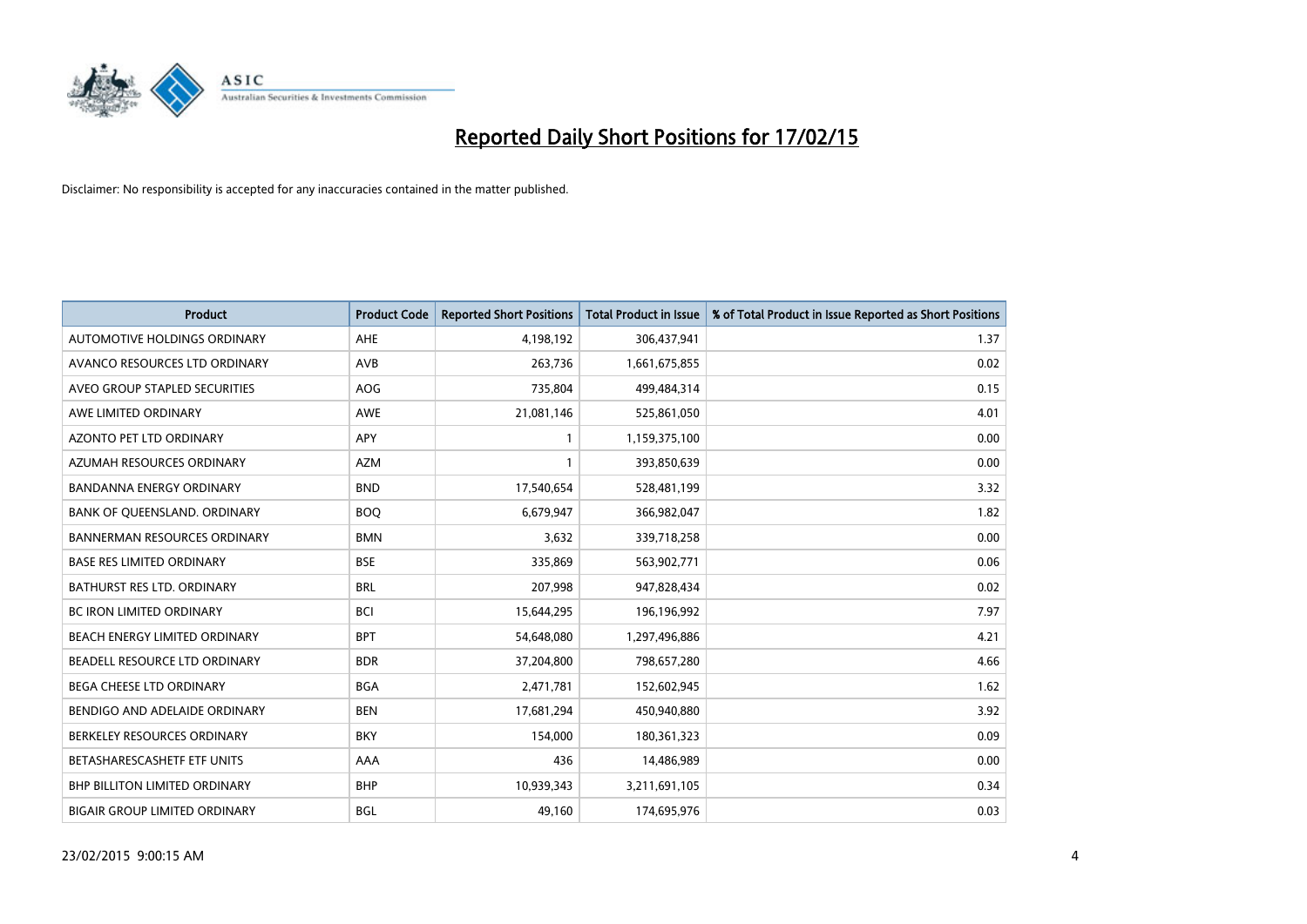

| <b>Product</b>                       | <b>Product Code</b> | <b>Reported Short Positions</b> | <b>Total Product in Issue</b> | % of Total Product in Issue Reported as Short Positions |
|--------------------------------------|---------------------|---------------------------------|-------------------------------|---------------------------------------------------------|
| AUTOMOTIVE HOLDINGS ORDINARY         | AHE                 | 4,198,192                       | 306,437,941                   | 1.37                                                    |
| AVANCO RESOURCES LTD ORDINARY        | AVB                 | 263,736                         | 1,661,675,855                 | 0.02                                                    |
| AVEO GROUP STAPLED SECURITIES        | <b>AOG</b>          | 735,804                         | 499,484,314                   | 0.15                                                    |
| AWE LIMITED ORDINARY                 | <b>AWE</b>          | 21,081,146                      | 525,861,050                   | 4.01                                                    |
| <b>AZONTO PET LTD ORDINARY</b>       | APY                 | $\mathbf{1}$                    | 1,159,375,100                 | 0.00                                                    |
| AZUMAH RESOURCES ORDINARY            | <b>AZM</b>          | $\mathbf{1}$                    | 393,850,639                   | 0.00                                                    |
| <b>BANDANNA ENERGY ORDINARY</b>      | <b>BND</b>          | 17,540,654                      | 528,481,199                   | 3.32                                                    |
| BANK OF QUEENSLAND. ORDINARY         | <b>BOO</b>          | 6,679,947                       | 366,982,047                   | 1.82                                                    |
| <b>BANNERMAN RESOURCES ORDINARY</b>  | <b>BMN</b>          | 3,632                           | 339,718,258                   | 0.00                                                    |
| <b>BASE RES LIMITED ORDINARY</b>     | <b>BSE</b>          | 335,869                         | 563,902,771                   | 0.06                                                    |
| BATHURST RES LTD. ORDINARY           | <b>BRL</b>          | 207,998                         | 947,828,434                   | 0.02                                                    |
| <b>BC IRON LIMITED ORDINARY</b>      | <b>BCI</b>          | 15,644,295                      | 196,196,992                   | 7.97                                                    |
| BEACH ENERGY LIMITED ORDINARY        | <b>BPT</b>          | 54,648,080                      | 1,297,496,886                 | 4.21                                                    |
| BEADELL RESOURCE LTD ORDINARY        | <b>BDR</b>          | 37,204,800                      | 798,657,280                   | 4.66                                                    |
| <b>BEGA CHEESE LTD ORDINARY</b>      | <b>BGA</b>          | 2,471,781                       | 152,602,945                   | 1.62                                                    |
| BENDIGO AND ADELAIDE ORDINARY        | <b>BEN</b>          | 17,681,294                      | 450,940,880                   | 3.92                                                    |
| BERKELEY RESOURCES ORDINARY          | <b>BKY</b>          | 154,000                         | 180,361,323                   | 0.09                                                    |
| BETASHARESCASHETF ETF UNITS          | AAA                 | 436                             | 14,486,989                    | 0.00                                                    |
| <b>BHP BILLITON LIMITED ORDINARY</b> | <b>BHP</b>          | 10,939,343                      | 3,211,691,105                 | 0.34                                                    |
| <b>BIGAIR GROUP LIMITED ORDINARY</b> | BGL                 | 49,160                          | 174,695,976                   | 0.03                                                    |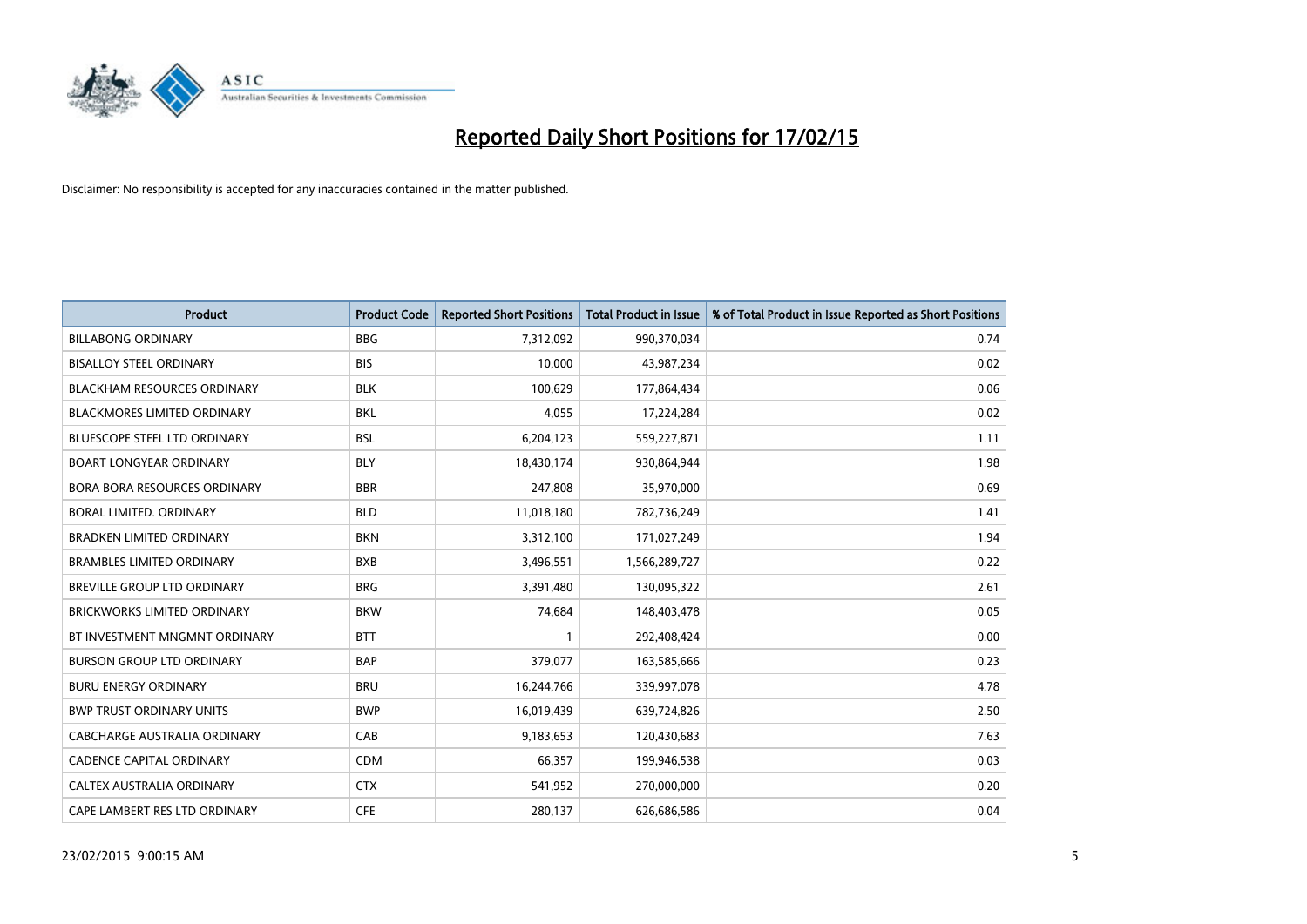

| <b>Product</b>                      | <b>Product Code</b> | <b>Reported Short Positions</b> | <b>Total Product in Issue</b> | % of Total Product in Issue Reported as Short Positions |
|-------------------------------------|---------------------|---------------------------------|-------------------------------|---------------------------------------------------------|
| <b>BILLABONG ORDINARY</b>           | <b>BBG</b>          | 7,312,092                       | 990,370,034                   | 0.74                                                    |
| <b>BISALLOY STEEL ORDINARY</b>      | <b>BIS</b>          | 10,000                          | 43,987,234                    | 0.02                                                    |
| BLACKHAM RESOURCES ORDINARY         | <b>BLK</b>          | 100,629                         | 177,864,434                   | 0.06                                                    |
| <b>BLACKMORES LIMITED ORDINARY</b>  | <b>BKL</b>          | 4,055                           | 17,224,284                    | 0.02                                                    |
| <b>BLUESCOPE STEEL LTD ORDINARY</b> | <b>BSL</b>          | 6,204,123                       | 559,227,871                   | 1.11                                                    |
| <b>BOART LONGYEAR ORDINARY</b>      | <b>BLY</b>          | 18,430,174                      | 930,864,944                   | 1.98                                                    |
| BORA BORA RESOURCES ORDINARY        | <b>BBR</b>          | 247,808                         | 35,970,000                    | 0.69                                                    |
| BORAL LIMITED. ORDINARY             | <b>BLD</b>          | 11,018,180                      | 782,736,249                   | 1.41                                                    |
| <b>BRADKEN LIMITED ORDINARY</b>     | <b>BKN</b>          | 3,312,100                       | 171,027,249                   | 1.94                                                    |
| <b>BRAMBLES LIMITED ORDINARY</b>    | <b>BXB</b>          | 3,496,551                       | 1,566,289,727                 | 0.22                                                    |
| BREVILLE GROUP LTD ORDINARY         | <b>BRG</b>          | 3,391,480                       | 130,095,322                   | 2.61                                                    |
| BRICKWORKS LIMITED ORDINARY         | <b>BKW</b>          | 74,684                          | 148,403,478                   | 0.05                                                    |
| BT INVESTMENT MNGMNT ORDINARY       | <b>BTT</b>          | 1                               | 292,408,424                   | 0.00                                                    |
| <b>BURSON GROUP LTD ORDINARY</b>    | <b>BAP</b>          | 379,077                         | 163,585,666                   | 0.23                                                    |
| <b>BURU ENERGY ORDINARY</b>         | <b>BRU</b>          | 16,244,766                      | 339,997,078                   | 4.78                                                    |
| <b>BWP TRUST ORDINARY UNITS</b>     | <b>BWP</b>          | 16,019,439                      | 639,724,826                   | 2.50                                                    |
| CABCHARGE AUSTRALIA ORDINARY        | CAB                 | 9,183,653                       | 120,430,683                   | 7.63                                                    |
| <b>CADENCE CAPITAL ORDINARY</b>     | <b>CDM</b>          | 66,357                          | 199,946,538                   | 0.03                                                    |
| CALTEX AUSTRALIA ORDINARY           | <b>CTX</b>          | 541,952                         | 270,000,000                   | 0.20                                                    |
| CAPE LAMBERT RES LTD ORDINARY       | <b>CFE</b>          | 280,137                         | 626,686,586                   | 0.04                                                    |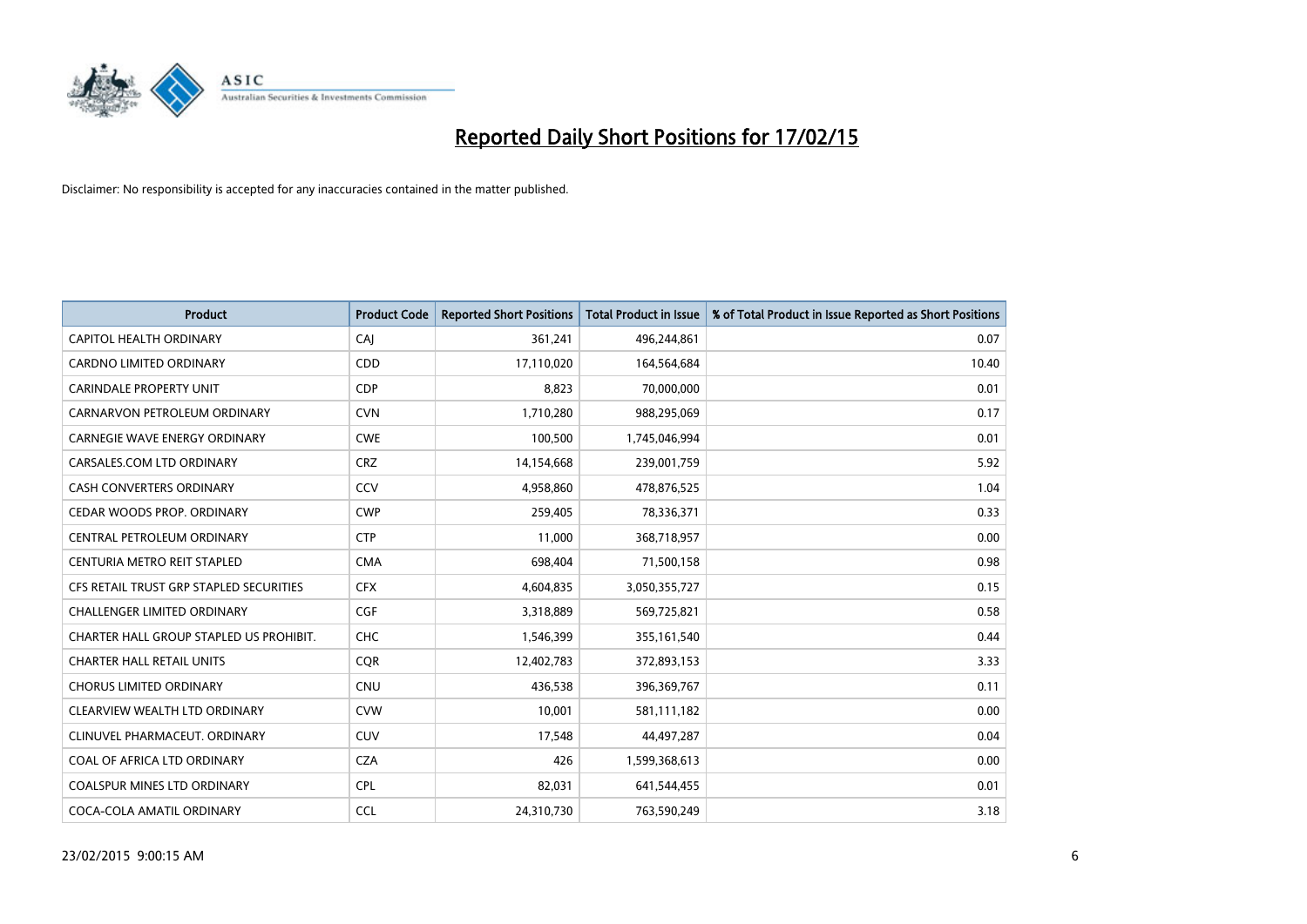

| <b>Product</b>                          | <b>Product Code</b> | <b>Reported Short Positions</b> | <b>Total Product in Issue</b> | % of Total Product in Issue Reported as Short Positions |
|-----------------------------------------|---------------------|---------------------------------|-------------------------------|---------------------------------------------------------|
| <b>CAPITOL HEALTH ORDINARY</b>          | CAJ                 | 361,241                         | 496,244,861                   | 0.07                                                    |
| CARDNO LIMITED ORDINARY                 | CDD                 | 17,110,020                      | 164,564,684                   | 10.40                                                   |
| <b>CARINDALE PROPERTY UNIT</b>          | <b>CDP</b>          | 8,823                           | 70,000,000                    | 0.01                                                    |
| CARNARVON PETROLEUM ORDINARY            | <b>CVN</b>          | 1,710,280                       | 988,295,069                   | 0.17                                                    |
| <b>CARNEGIE WAVE ENERGY ORDINARY</b>    | <b>CWE</b>          | 100,500                         | 1,745,046,994                 | 0.01                                                    |
| CARSALES.COM LTD ORDINARY               | <b>CRZ</b>          | 14,154,668                      | 239,001,759                   | 5.92                                                    |
| CASH CONVERTERS ORDINARY                | CCV                 | 4,958,860                       | 478,876,525                   | 1.04                                                    |
| CEDAR WOODS PROP. ORDINARY              | <b>CWP</b>          | 259,405                         | 78,336,371                    | 0.33                                                    |
| CENTRAL PETROLEUM ORDINARY              | <b>CTP</b>          | 11,000                          | 368,718,957                   | 0.00                                                    |
| CENTURIA METRO REIT STAPLED             | <b>CMA</b>          | 698,404                         | 71,500,158                    | 0.98                                                    |
| CFS RETAIL TRUST GRP STAPLED SECURITIES | <b>CFX</b>          | 4,604,835                       | 3,050,355,727                 | 0.15                                                    |
| CHALLENGER LIMITED ORDINARY             | <b>CGF</b>          | 3,318,889                       | 569,725,821                   | 0.58                                                    |
| CHARTER HALL GROUP STAPLED US PROHIBIT. | <b>CHC</b>          | 1,546,399                       | 355,161,540                   | 0.44                                                    |
| <b>CHARTER HALL RETAIL UNITS</b>        | <b>COR</b>          | 12,402,783                      | 372,893,153                   | 3.33                                                    |
| <b>CHORUS LIMITED ORDINARY</b>          | <b>CNU</b>          | 436,538                         | 396,369,767                   | 0.11                                                    |
| CLEARVIEW WEALTH LTD ORDINARY           | <b>CVW</b>          | 10,001                          | 581,111,182                   | 0.00                                                    |
| CLINUVEL PHARMACEUT. ORDINARY           | <b>CUV</b>          | 17,548                          | 44,497,287                    | 0.04                                                    |
| COAL OF AFRICA LTD ORDINARY             | <b>CZA</b>          | 426                             | 1,599,368,613                 | 0.00                                                    |
| <b>COALSPUR MINES LTD ORDINARY</b>      | <b>CPL</b>          | 82,031                          | 641,544,455                   | 0.01                                                    |
| COCA-COLA AMATIL ORDINARY               | <b>CCL</b>          | 24,310,730                      | 763,590,249                   | 3.18                                                    |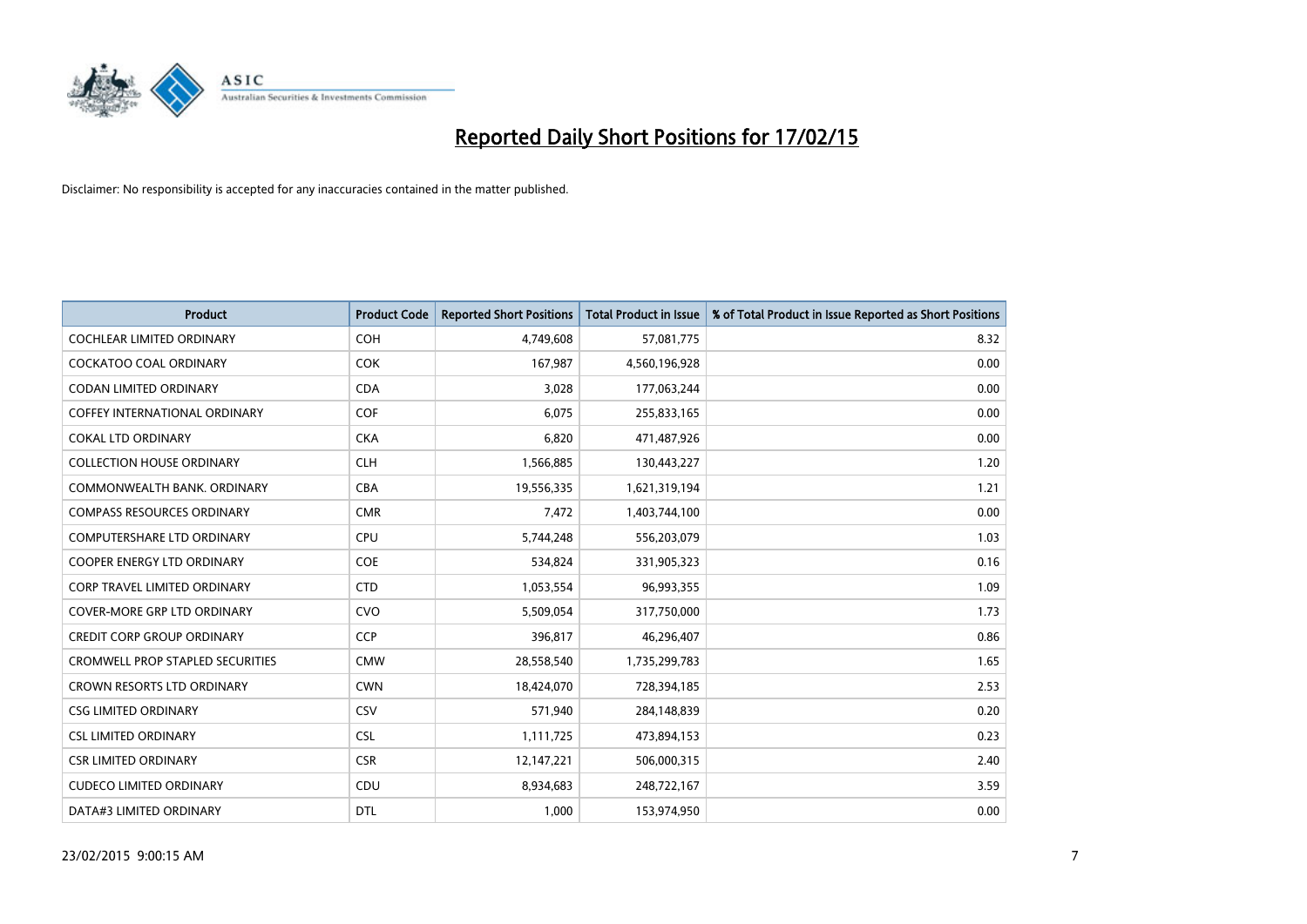

| <b>Product</b>                          | <b>Product Code</b> | <b>Reported Short Positions</b> | <b>Total Product in Issue</b> | % of Total Product in Issue Reported as Short Positions |
|-----------------------------------------|---------------------|---------------------------------|-------------------------------|---------------------------------------------------------|
| <b>COCHLEAR LIMITED ORDINARY</b>        | COH                 | 4,749,608                       | 57,081,775                    | 8.32                                                    |
| COCKATOO COAL ORDINARY                  | <b>COK</b>          | 167,987                         | 4,560,196,928                 | 0.00                                                    |
| <b>CODAN LIMITED ORDINARY</b>           | <b>CDA</b>          | 3,028                           | 177,063,244                   | 0.00                                                    |
| <b>COFFEY INTERNATIONAL ORDINARY</b>    | <b>COF</b>          | 6,075                           | 255,833,165                   | 0.00                                                    |
| <b>COKAL LTD ORDINARY</b>               | <b>CKA</b>          | 6,820                           | 471,487,926                   | 0.00                                                    |
| <b>COLLECTION HOUSE ORDINARY</b>        | <b>CLH</b>          | 1,566,885                       | 130,443,227                   | 1.20                                                    |
| COMMONWEALTH BANK, ORDINARY             | <b>CBA</b>          | 19,556,335                      | 1,621,319,194                 | 1.21                                                    |
| <b>COMPASS RESOURCES ORDINARY</b>       | <b>CMR</b>          | 7,472                           | 1,403,744,100                 | 0.00                                                    |
| <b>COMPUTERSHARE LTD ORDINARY</b>       | <b>CPU</b>          | 5,744,248                       | 556,203,079                   | 1.03                                                    |
| <b>COOPER ENERGY LTD ORDINARY</b>       | <b>COE</b>          | 534,824                         | 331,905,323                   | 0.16                                                    |
| CORP TRAVEL LIMITED ORDINARY            | <b>CTD</b>          | 1,053,554                       | 96,993,355                    | 1.09                                                    |
| <b>COVER-MORE GRP LTD ORDINARY</b>      | <b>CVO</b>          | 5,509,054                       | 317,750,000                   | 1.73                                                    |
| <b>CREDIT CORP GROUP ORDINARY</b>       | <b>CCP</b>          | 396,817                         | 46,296,407                    | 0.86                                                    |
| <b>CROMWELL PROP STAPLED SECURITIES</b> | <b>CMW</b>          | 28,558,540                      | 1,735,299,783                 | 1.65                                                    |
| <b>CROWN RESORTS LTD ORDINARY</b>       | <b>CWN</b>          | 18,424,070                      | 728,394,185                   | 2.53                                                    |
| <b>CSG LIMITED ORDINARY</b>             | CSV                 | 571,940                         | 284,148,839                   | 0.20                                                    |
| <b>CSL LIMITED ORDINARY</b>             | <b>CSL</b>          | 1,111,725                       | 473,894,153                   | 0.23                                                    |
| <b>CSR LIMITED ORDINARY</b>             | <b>CSR</b>          | 12,147,221                      | 506,000,315                   | 2.40                                                    |
| <b>CUDECO LIMITED ORDINARY</b>          | CDU                 | 8,934,683                       | 248,722,167                   | 3.59                                                    |
| DATA#3 LIMITED ORDINARY                 | <b>DTL</b>          | 1,000                           | 153,974,950                   | 0.00                                                    |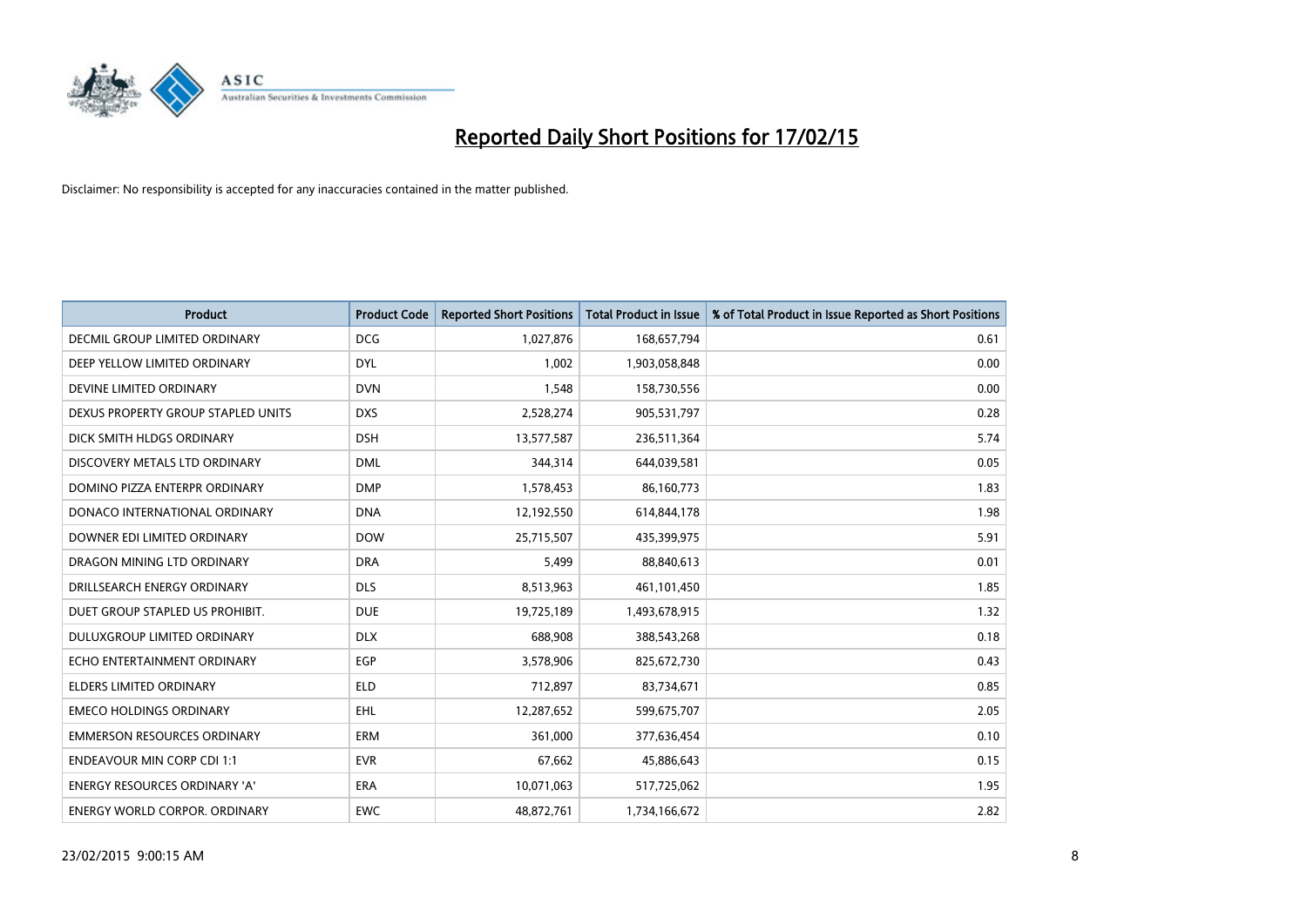

| <b>Product</b>                       | <b>Product Code</b> | <b>Reported Short Positions</b> | <b>Total Product in Issue</b> | % of Total Product in Issue Reported as Short Positions |
|--------------------------------------|---------------------|---------------------------------|-------------------------------|---------------------------------------------------------|
| DECMIL GROUP LIMITED ORDINARY        | <b>DCG</b>          | 1,027,876                       | 168,657,794                   | 0.61                                                    |
| DEEP YELLOW LIMITED ORDINARY         | <b>DYL</b>          | 1,002                           | 1,903,058,848                 | 0.00                                                    |
| DEVINE LIMITED ORDINARY              | <b>DVN</b>          | 1,548                           | 158,730,556                   | 0.00                                                    |
| DEXUS PROPERTY GROUP STAPLED UNITS   | <b>DXS</b>          | 2,528,274                       | 905,531,797                   | 0.28                                                    |
| DICK SMITH HLDGS ORDINARY            | <b>DSH</b>          | 13,577,587                      | 236,511,364                   | 5.74                                                    |
| DISCOVERY METALS LTD ORDINARY        | <b>DML</b>          | 344,314                         | 644,039,581                   | 0.05                                                    |
| DOMINO PIZZA ENTERPR ORDINARY        | <b>DMP</b>          | 1,578,453                       | 86,160,773                    | 1.83                                                    |
| DONACO INTERNATIONAL ORDINARY        | <b>DNA</b>          | 12,192,550                      | 614,844,178                   | 1.98                                                    |
| DOWNER EDI LIMITED ORDINARY          | <b>DOW</b>          | 25,715,507                      | 435,399,975                   | 5.91                                                    |
| DRAGON MINING LTD ORDINARY           | <b>DRA</b>          | 5,499                           | 88,840,613                    | 0.01                                                    |
| DRILLSEARCH ENERGY ORDINARY          | <b>DLS</b>          | 8,513,963                       | 461,101,450                   | 1.85                                                    |
| DUET GROUP STAPLED US PROHIBIT.      | <b>DUE</b>          | 19,725,189                      | 1,493,678,915                 | 1.32                                                    |
| DULUXGROUP LIMITED ORDINARY          | <b>DLX</b>          | 688,908                         | 388,543,268                   | 0.18                                                    |
| ECHO ENTERTAINMENT ORDINARY          | <b>EGP</b>          | 3,578,906                       | 825,672,730                   | 0.43                                                    |
| <b>ELDERS LIMITED ORDINARY</b>       | <b>ELD</b>          | 712,897                         | 83,734,671                    | 0.85                                                    |
| <b>EMECO HOLDINGS ORDINARY</b>       | <b>EHL</b>          | 12,287,652                      | 599,675,707                   | 2.05                                                    |
| <b>EMMERSON RESOURCES ORDINARY</b>   | ERM                 | 361,000                         | 377,636,454                   | 0.10                                                    |
| <b>ENDEAVOUR MIN CORP CDI 1:1</b>    | <b>EVR</b>          | 67,662                          | 45,886,643                    | 0.15                                                    |
| <b>ENERGY RESOURCES ORDINARY 'A'</b> | <b>ERA</b>          | 10,071,063                      | 517,725,062                   | 1.95                                                    |
| <b>ENERGY WORLD CORPOR. ORDINARY</b> | <b>EWC</b>          | 48,872,761                      | 1,734,166,672                 | 2.82                                                    |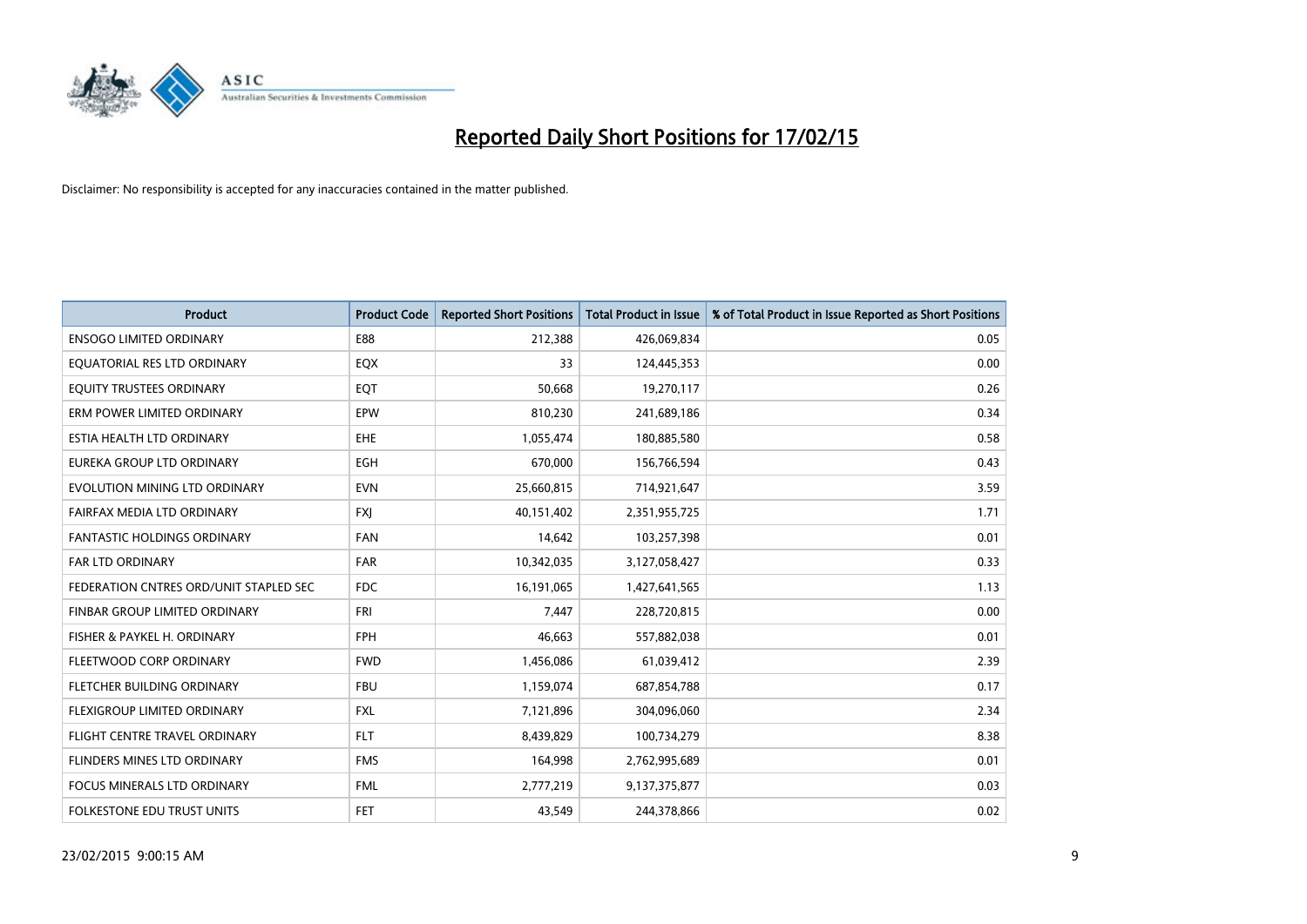

| <b>Product</b>                         | <b>Product Code</b> | <b>Reported Short Positions</b> | Total Product in Issue | % of Total Product in Issue Reported as Short Positions |
|----------------------------------------|---------------------|---------------------------------|------------------------|---------------------------------------------------------|
| <b>ENSOGO LIMITED ORDINARY</b>         | E88                 | 212,388                         | 426,069,834            | 0.05                                                    |
| EQUATORIAL RES LTD ORDINARY            | EQX                 | 33                              | 124,445,353            | 0.00                                                    |
| EQUITY TRUSTEES ORDINARY               | EQT                 | 50,668                          | 19,270,117             | 0.26                                                    |
| ERM POWER LIMITED ORDINARY             | EPW                 | 810,230                         | 241,689,186            | 0.34                                                    |
| ESTIA HEALTH LTD ORDINARY              | <b>EHE</b>          | 1,055,474                       | 180,885,580            | 0.58                                                    |
| EUREKA GROUP LTD ORDINARY              | EGH                 | 670,000                         | 156,766,594            | 0.43                                                    |
| EVOLUTION MINING LTD ORDINARY          | <b>EVN</b>          | 25,660,815                      | 714,921,647            | 3.59                                                    |
| FAIRFAX MEDIA LTD ORDINARY             | <b>FXJ</b>          | 40,151,402                      | 2,351,955,725          | 1.71                                                    |
| <b>FANTASTIC HOLDINGS ORDINARY</b>     | <b>FAN</b>          | 14,642                          | 103,257,398            | 0.01                                                    |
| <b>FAR LTD ORDINARY</b>                | <b>FAR</b>          | 10,342,035                      | 3,127,058,427          | 0.33                                                    |
| FEDERATION CNTRES ORD/UNIT STAPLED SEC | FDC                 | 16,191,065                      | 1,427,641,565          | 1.13                                                    |
| FINBAR GROUP LIMITED ORDINARY          | <b>FRI</b>          | 7,447                           | 228,720,815            | 0.00                                                    |
| FISHER & PAYKEL H. ORDINARY            | <b>FPH</b>          | 46,663                          | 557,882,038            | 0.01                                                    |
| FLEETWOOD CORP ORDINARY                | <b>FWD</b>          | 1,456,086                       | 61,039,412             | 2.39                                                    |
| FLETCHER BUILDING ORDINARY             | <b>FBU</b>          | 1,159,074                       | 687,854,788            | 0.17                                                    |
| FLEXIGROUP LIMITED ORDINARY            | <b>FXL</b>          | 7,121,896                       | 304,096,060            | 2.34                                                    |
| FLIGHT CENTRE TRAVEL ORDINARY          | <b>FLT</b>          | 8,439,829                       | 100,734,279            | 8.38                                                    |
| FLINDERS MINES LTD ORDINARY            | <b>FMS</b>          | 164,998                         | 2,762,995,689          | 0.01                                                    |
| <b>FOCUS MINERALS LTD ORDINARY</b>     | <b>FML</b>          | 2,777,219                       | 9,137,375,877          | 0.03                                                    |
| FOLKESTONE EDU TRUST UNITS             | FET.                | 43,549                          | 244,378,866            | 0.02                                                    |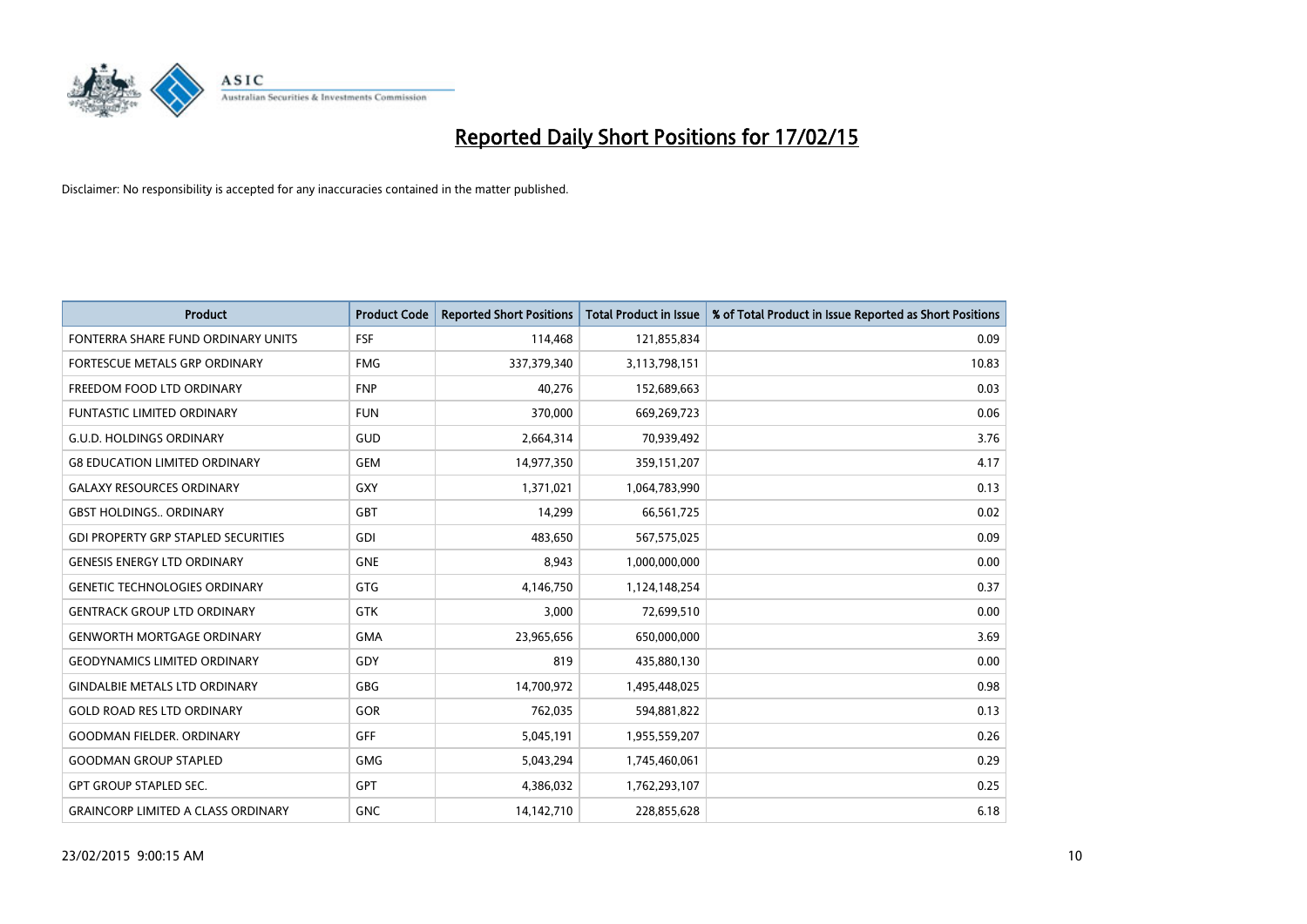

| <b>Product</b>                             | <b>Product Code</b> | <b>Reported Short Positions</b> | <b>Total Product in Issue</b> | % of Total Product in Issue Reported as Short Positions |
|--------------------------------------------|---------------------|---------------------------------|-------------------------------|---------------------------------------------------------|
| FONTERRA SHARE FUND ORDINARY UNITS         | <b>FSF</b>          | 114,468                         | 121,855,834                   | 0.09                                                    |
| FORTESCUE METALS GRP ORDINARY              | <b>FMG</b>          | 337,379,340                     | 3,113,798,151                 | 10.83                                                   |
| FREEDOM FOOD LTD ORDINARY                  | <b>FNP</b>          | 40,276                          | 152,689,663                   | 0.03                                                    |
| <b>FUNTASTIC LIMITED ORDINARY</b>          | <b>FUN</b>          | 370,000                         | 669,269,723                   | 0.06                                                    |
| <b>G.U.D. HOLDINGS ORDINARY</b>            | GUD                 | 2,664,314                       | 70,939,492                    | 3.76                                                    |
| <b>G8 EDUCATION LIMITED ORDINARY</b>       | <b>GEM</b>          | 14,977,350                      | 359,151,207                   | 4.17                                                    |
| <b>GALAXY RESOURCES ORDINARY</b>           | <b>GXY</b>          | 1,371,021                       | 1,064,783,990                 | 0.13                                                    |
| <b>GBST HOLDINGS ORDINARY</b>              | <b>GBT</b>          | 14,299                          | 66,561,725                    | 0.02                                                    |
| <b>GDI PROPERTY GRP STAPLED SECURITIES</b> | GDI                 | 483,650                         | 567,575,025                   | 0.09                                                    |
| <b>GENESIS ENERGY LTD ORDINARY</b>         | <b>GNE</b>          | 8,943                           | 1,000,000,000                 | 0.00                                                    |
| <b>GENETIC TECHNOLOGIES ORDINARY</b>       | <b>GTG</b>          | 4,146,750                       | 1,124,148,254                 | 0.37                                                    |
| <b>GENTRACK GROUP LTD ORDINARY</b>         | <b>GTK</b>          | 3,000                           | 72,699,510                    | 0.00                                                    |
| <b>GENWORTH MORTGAGE ORDINARY</b>          | <b>GMA</b>          | 23,965,656                      | 650,000,000                   | 3.69                                                    |
| <b>GEODYNAMICS LIMITED ORDINARY</b>        | GDY                 | 819                             | 435,880,130                   | 0.00                                                    |
| <b>GINDALBIE METALS LTD ORDINARY</b>       | GBG                 | 14,700,972                      | 1,495,448,025                 | 0.98                                                    |
| <b>GOLD ROAD RES LTD ORDINARY</b>          | GOR                 | 762,035                         | 594,881,822                   | 0.13                                                    |
| <b>GOODMAN FIELDER. ORDINARY</b>           | GFF                 | 5,045,191                       | 1,955,559,207                 | 0.26                                                    |
| <b>GOODMAN GROUP STAPLED</b>               | <b>GMG</b>          | 5,043,294                       | 1,745,460,061                 | 0.29                                                    |
| <b>GPT GROUP STAPLED SEC.</b>              | <b>GPT</b>          | 4,386,032                       | 1,762,293,107                 | 0.25                                                    |
| <b>GRAINCORP LIMITED A CLASS ORDINARY</b>  | <b>GNC</b>          | 14,142,710                      | 228,855,628                   | 6.18                                                    |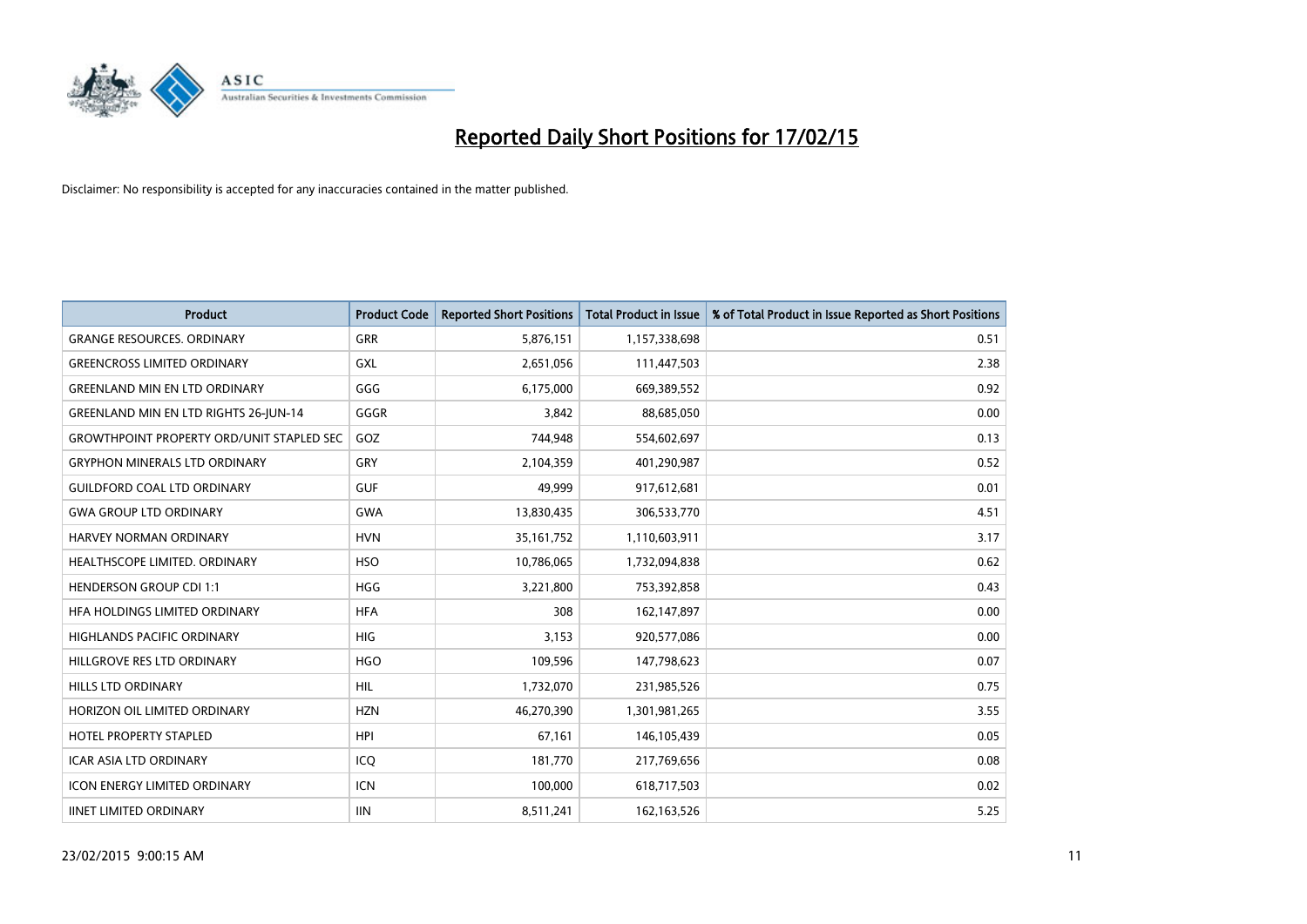

| <b>Product</b>                                   | <b>Product Code</b> | <b>Reported Short Positions</b> | <b>Total Product in Issue</b> | % of Total Product in Issue Reported as Short Positions |
|--------------------------------------------------|---------------------|---------------------------------|-------------------------------|---------------------------------------------------------|
| <b>GRANGE RESOURCES, ORDINARY</b>                | GRR                 | 5,876,151                       | 1,157,338,698                 | 0.51                                                    |
| <b>GREENCROSS LIMITED ORDINARY</b>               | <b>GXL</b>          | 2,651,056                       | 111,447,503                   | 2.38                                                    |
| <b>GREENLAND MIN EN LTD ORDINARY</b>             | GGG                 | 6,175,000                       | 669,389,552                   | 0.92                                                    |
| <b>GREENLAND MIN EN LTD RIGHTS 26-JUN-14</b>     | GGGR                | 3,842                           | 88,685,050                    | 0.00                                                    |
| <b>GROWTHPOINT PROPERTY ORD/UNIT STAPLED SEC</b> | GOZ                 | 744,948                         | 554,602,697                   | 0.13                                                    |
| <b>GRYPHON MINERALS LTD ORDINARY</b>             | GRY                 | 2,104,359                       | 401,290,987                   | 0.52                                                    |
| <b>GUILDFORD COAL LTD ORDINARY</b>               | <b>GUF</b>          | 49,999                          | 917,612,681                   | 0.01                                                    |
| <b>GWA GROUP LTD ORDINARY</b>                    | GWA                 | 13,830,435                      | 306,533,770                   | 4.51                                                    |
| <b>HARVEY NORMAN ORDINARY</b>                    | <b>HVN</b>          | 35, 161, 752                    | 1,110,603,911                 | 3.17                                                    |
| HEALTHSCOPE LIMITED. ORDINARY                    | <b>HSO</b>          | 10,786,065                      | 1,732,094,838                 | 0.62                                                    |
| <b>HENDERSON GROUP CDI 1:1</b>                   | <b>HGG</b>          | 3,221,800                       | 753,392,858                   | 0.43                                                    |
| HFA HOLDINGS LIMITED ORDINARY                    | <b>HFA</b>          | 308                             | 162,147,897                   | 0.00                                                    |
| <b>HIGHLANDS PACIFIC ORDINARY</b>                | <b>HIG</b>          | 3,153                           | 920,577,086                   | 0.00                                                    |
| HILLGROVE RES LTD ORDINARY                       | <b>HGO</b>          | 109,596                         | 147,798,623                   | 0.07                                                    |
| <b>HILLS LTD ORDINARY</b>                        | <b>HIL</b>          | 1,732,070                       | 231,985,526                   | 0.75                                                    |
| HORIZON OIL LIMITED ORDINARY                     | <b>HZN</b>          | 46,270,390                      | 1,301,981,265                 | 3.55                                                    |
| HOTEL PROPERTY STAPLED                           | HPI                 | 67,161                          | 146,105,439                   | 0.05                                                    |
| <b>ICAR ASIA LTD ORDINARY</b>                    | ICQ                 | 181,770                         | 217,769,656                   | 0.08                                                    |
| <b>ICON ENERGY LIMITED ORDINARY</b>              | <b>ICN</b>          | 100,000                         | 618,717,503                   | 0.02                                                    |
| <b>IINET LIMITED ORDINARY</b>                    | <b>IIN</b>          | 8,511,241                       | 162, 163, 526                 | 5.25                                                    |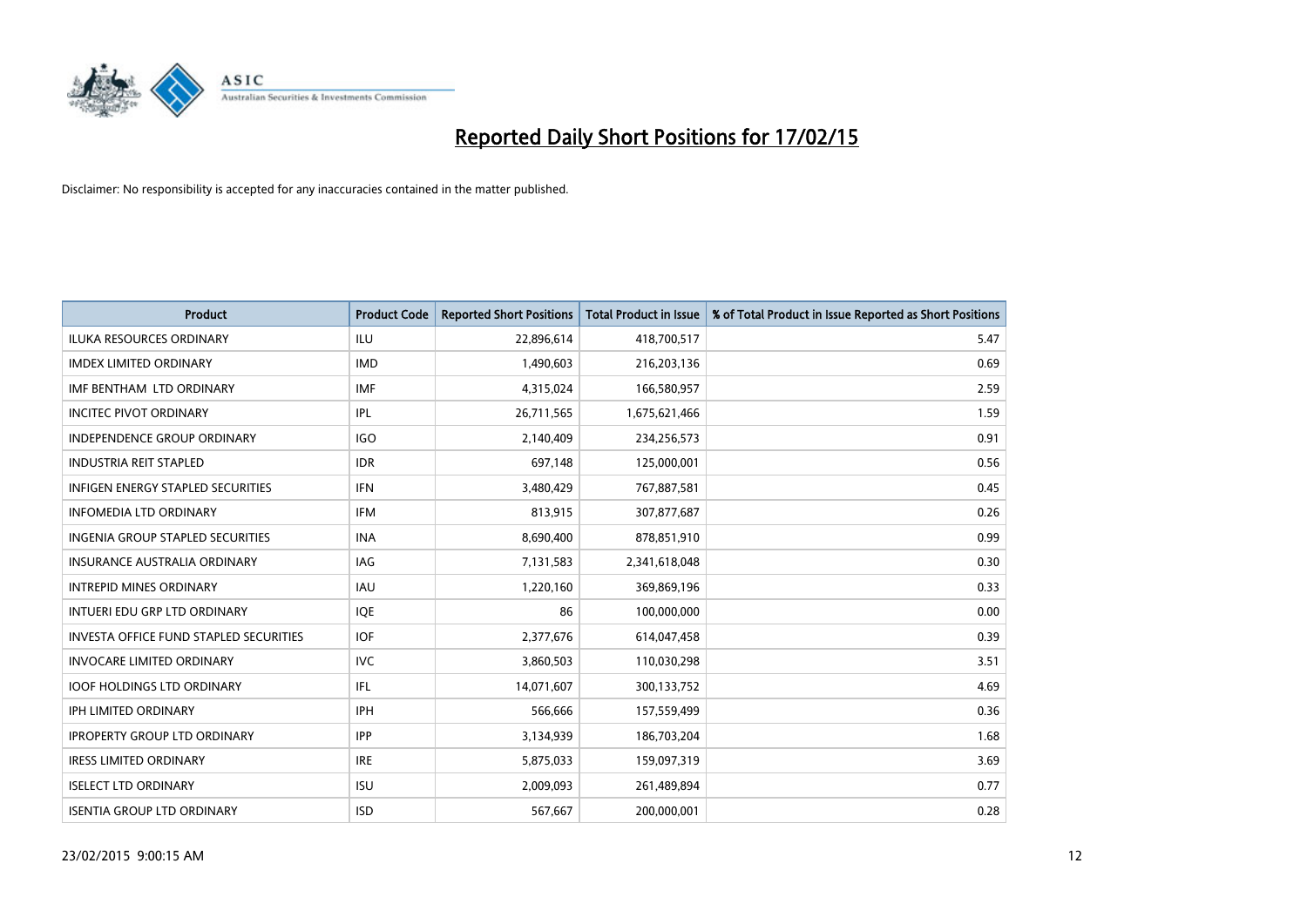

| <b>Product</b>                                | <b>Product Code</b> | <b>Reported Short Positions</b> | <b>Total Product in Issue</b> | % of Total Product in Issue Reported as Short Positions |
|-----------------------------------------------|---------------------|---------------------------------|-------------------------------|---------------------------------------------------------|
| <b>ILUKA RESOURCES ORDINARY</b>               | ILU                 | 22,896,614                      | 418,700,517                   | 5.47                                                    |
| <b>IMDEX LIMITED ORDINARY</b>                 | <b>IMD</b>          | 1,490,603                       | 216,203,136                   | 0.69                                                    |
| IMF BENTHAM LTD ORDINARY                      | <b>IMF</b>          | 4,315,024                       | 166,580,957                   | 2.59                                                    |
| <b>INCITEC PIVOT ORDINARY</b>                 | IPL                 | 26,711,565                      | 1,675,621,466                 | 1.59                                                    |
| <b>INDEPENDENCE GROUP ORDINARY</b>            | <b>IGO</b>          | 2,140,409                       | 234,256,573                   | 0.91                                                    |
| <b>INDUSTRIA REIT STAPLED</b>                 | <b>IDR</b>          | 697,148                         | 125,000,001                   | 0.56                                                    |
| <b>INFIGEN ENERGY STAPLED SECURITIES</b>      | <b>IFN</b>          | 3,480,429                       | 767,887,581                   | 0.45                                                    |
| <b>INFOMEDIA LTD ORDINARY</b>                 | <b>IFM</b>          | 813,915                         | 307,877,687                   | 0.26                                                    |
| INGENIA GROUP STAPLED SECURITIES              | <b>INA</b>          | 8,690,400                       | 878,851,910                   | 0.99                                                    |
| INSURANCE AUSTRALIA ORDINARY                  | IAG                 | 7,131,583                       | 2,341,618,048                 | 0.30                                                    |
| <b>INTREPID MINES ORDINARY</b>                | <b>IAU</b>          | 1,220,160                       | 369,869,196                   | 0.33                                                    |
| INTUERI EDU GRP LTD ORDINARY                  | <b>IQE</b>          | 86                              | 100,000,000                   | 0.00                                                    |
| <b>INVESTA OFFICE FUND STAPLED SECURITIES</b> | <b>IOF</b>          | 2,377,676                       | 614,047,458                   | 0.39                                                    |
| <b>INVOCARE LIMITED ORDINARY</b>              | <b>IVC</b>          | 3,860,503                       | 110,030,298                   | 3.51                                                    |
| <b>IOOF HOLDINGS LTD ORDINARY</b>             | IFL                 | 14,071,607                      | 300,133,752                   | 4.69                                                    |
| <b>IPH LIMITED ORDINARY</b>                   | <b>IPH</b>          | 566,666                         | 157,559,499                   | 0.36                                                    |
| <b>IPROPERTY GROUP LTD ORDINARY</b>           | <b>IPP</b>          | 3,134,939                       | 186,703,204                   | 1.68                                                    |
| <b>IRESS LIMITED ORDINARY</b>                 | <b>IRE</b>          | 5,875,033                       | 159,097,319                   | 3.69                                                    |
| <b>ISELECT LTD ORDINARY</b>                   | <b>ISU</b>          | 2,009,093                       | 261,489,894                   | 0.77                                                    |
| <b>ISENTIA GROUP LTD ORDINARY</b>             | <b>ISD</b>          | 567,667                         | 200,000,001                   | 0.28                                                    |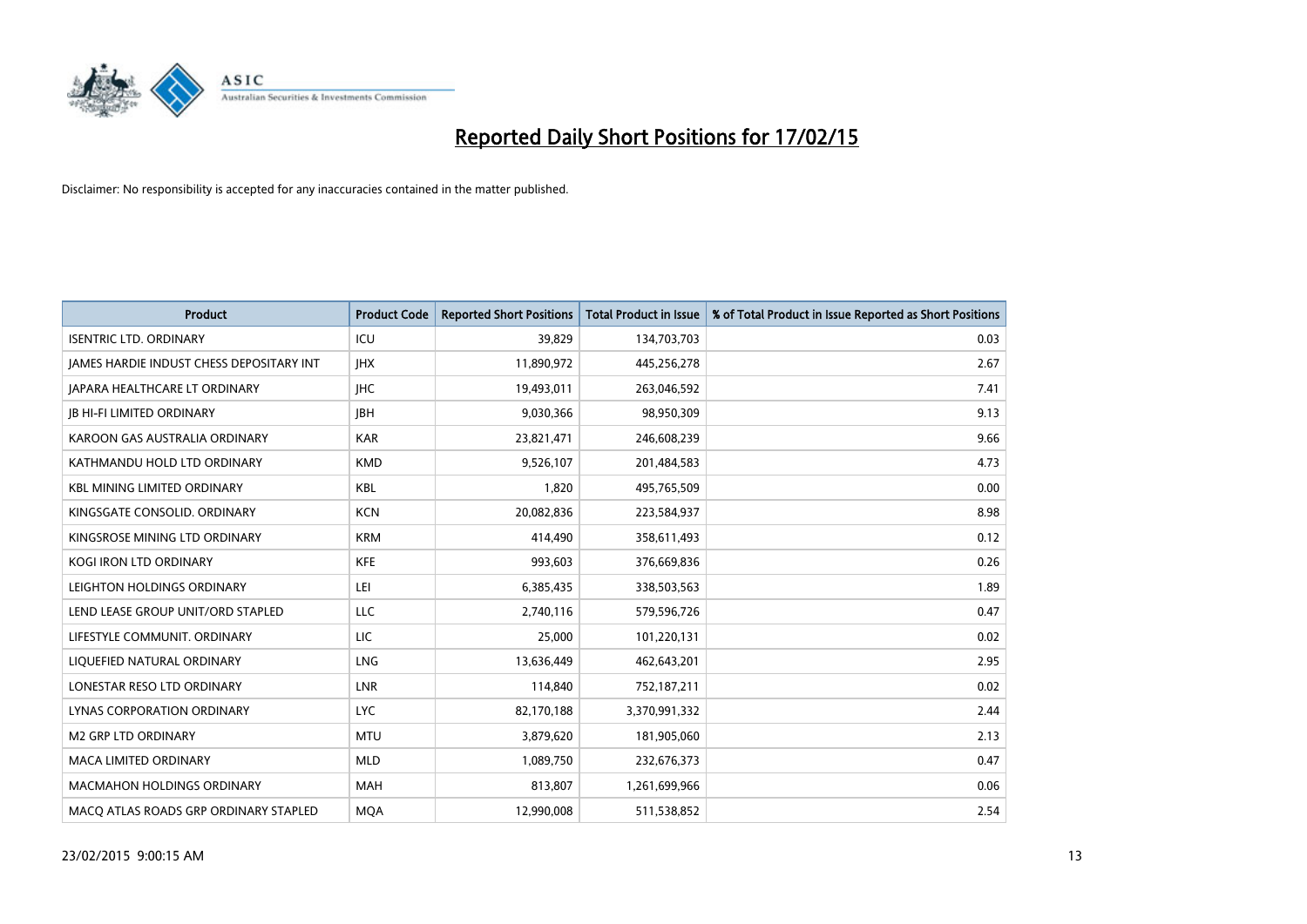

| <b>Product</b>                           | <b>Product Code</b> | <b>Reported Short Positions</b> | <b>Total Product in Issue</b> | % of Total Product in Issue Reported as Short Positions |
|------------------------------------------|---------------------|---------------------------------|-------------------------------|---------------------------------------------------------|
| <b>ISENTRIC LTD. ORDINARY</b>            | ICU                 | 39,829                          | 134,703,703                   | 0.03                                                    |
| JAMES HARDIE INDUST CHESS DEPOSITARY INT | <b>IHX</b>          | 11,890,972                      | 445,256,278                   | 2.67                                                    |
| <b>JAPARA HEALTHCARE LT ORDINARY</b>     | <b>IHC</b>          | 19,493,011                      | 263,046,592                   | 7.41                                                    |
| <b>JB HI-FI LIMITED ORDINARY</b>         | <b>IBH</b>          | 9,030,366                       | 98,950,309                    | 9.13                                                    |
| KAROON GAS AUSTRALIA ORDINARY            | <b>KAR</b>          | 23,821,471                      | 246,608,239                   | 9.66                                                    |
| KATHMANDU HOLD LTD ORDINARY              | <b>KMD</b>          | 9,526,107                       | 201,484,583                   | 4.73                                                    |
| <b>KBL MINING LIMITED ORDINARY</b>       | <b>KBL</b>          | 1,820                           | 495,765,509                   | 0.00                                                    |
| KINGSGATE CONSOLID. ORDINARY             | <b>KCN</b>          | 20,082,836                      | 223,584,937                   | 8.98                                                    |
| KINGSROSE MINING LTD ORDINARY            | <b>KRM</b>          | 414,490                         | 358,611,493                   | 0.12                                                    |
| <b>KOGI IRON LTD ORDINARY</b>            | <b>KFE</b>          | 993,603                         | 376,669,836                   | 0.26                                                    |
| LEIGHTON HOLDINGS ORDINARY               | LEI                 | 6,385,435                       | 338,503,563                   | 1.89                                                    |
| LEND LEASE GROUP UNIT/ORD STAPLED        | LLC                 | 2,740,116                       | 579,596,726                   | 0.47                                                    |
| LIFESTYLE COMMUNIT, ORDINARY             | <b>LIC</b>          | 25,000                          | 101,220,131                   | 0.02                                                    |
| LIQUEFIED NATURAL ORDINARY               | <b>LNG</b>          | 13,636,449                      | 462,643,201                   | 2.95                                                    |
| LONESTAR RESO LTD ORDINARY               | LNR                 | 114,840                         | 752,187,211                   | 0.02                                                    |
| LYNAS CORPORATION ORDINARY               | <b>LYC</b>          | 82,170,188                      | 3,370,991,332                 | 2.44                                                    |
| <b>M2 GRP LTD ORDINARY</b>               | <b>MTU</b>          | 3,879,620                       | 181,905,060                   | 2.13                                                    |
| <b>MACA LIMITED ORDINARY</b>             | <b>MLD</b>          | 1,089,750                       | 232,676,373                   | 0.47                                                    |
| <b>MACMAHON HOLDINGS ORDINARY</b>        | <b>MAH</b>          | 813,807                         | 1,261,699,966                 | 0.06                                                    |
| MACO ATLAS ROADS GRP ORDINARY STAPLED    | <b>MOA</b>          | 12,990,008                      | 511,538,852                   | 2.54                                                    |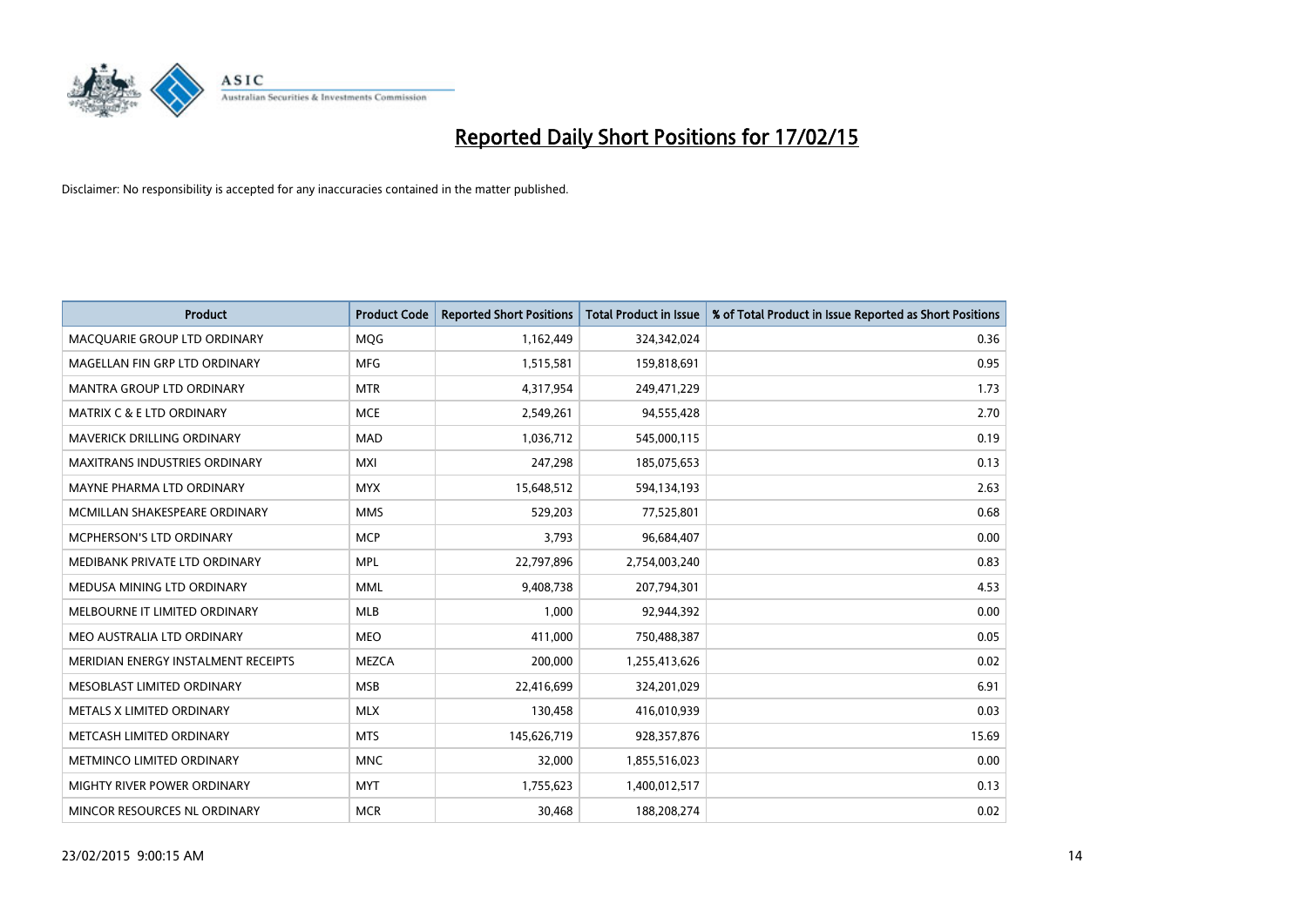

| <b>Product</b>                       | <b>Product Code</b> | <b>Reported Short Positions</b> | <b>Total Product in Issue</b> | % of Total Product in Issue Reported as Short Positions |
|--------------------------------------|---------------------|---------------------------------|-------------------------------|---------------------------------------------------------|
| MACQUARIE GROUP LTD ORDINARY         | <b>MOG</b>          | 1,162,449                       | 324,342,024                   | 0.36                                                    |
| MAGELLAN FIN GRP LTD ORDINARY        | <b>MFG</b>          | 1,515,581                       | 159,818,691                   | 0.95                                                    |
| MANTRA GROUP LTD ORDINARY            | <b>MTR</b>          | 4,317,954                       | 249,471,229                   | 1.73                                                    |
| <b>MATRIX C &amp; E LTD ORDINARY</b> | <b>MCE</b>          | 2,549,261                       | 94,555,428                    | 2.70                                                    |
| MAVERICK DRILLING ORDINARY           | <b>MAD</b>          | 1,036,712                       | 545,000,115                   | 0.19                                                    |
| <b>MAXITRANS INDUSTRIES ORDINARY</b> | <b>MXI</b>          | 247,298                         | 185,075,653                   | 0.13                                                    |
| MAYNE PHARMA LTD ORDINARY            | <b>MYX</b>          | 15,648,512                      | 594,134,193                   | 2.63                                                    |
| MCMILLAN SHAKESPEARE ORDINARY        | <b>MMS</b>          | 529,203                         | 77,525,801                    | 0.68                                                    |
| <b>MCPHERSON'S LTD ORDINARY</b>      | <b>MCP</b>          | 3,793                           | 96,684,407                    | 0.00                                                    |
| MEDIBANK PRIVATE LTD ORDINARY        | <b>MPL</b>          | 22,797,896                      | 2,754,003,240                 | 0.83                                                    |
| MEDUSA MINING LTD ORDINARY           | <b>MML</b>          | 9,408,738                       | 207,794,301                   | 4.53                                                    |
| MELBOURNE IT LIMITED ORDINARY        | <b>MLB</b>          | 1,000                           | 92,944,392                    | 0.00                                                    |
| MEO AUSTRALIA LTD ORDINARY           | <b>MEO</b>          | 411,000                         | 750,488,387                   | 0.05                                                    |
| MERIDIAN ENERGY INSTALMENT RECEIPTS  | <b>MEZCA</b>        | 200,000                         | 1,255,413,626                 | 0.02                                                    |
| MESOBLAST LIMITED ORDINARY           | <b>MSB</b>          | 22,416,699                      | 324,201,029                   | 6.91                                                    |
| METALS X LIMITED ORDINARY            | <b>MLX</b>          | 130,458                         | 416,010,939                   | 0.03                                                    |
| METCASH LIMITED ORDINARY             | <b>MTS</b>          | 145,626,719                     | 928,357,876                   | 15.69                                                   |
| METMINCO LIMITED ORDINARY            | <b>MNC</b>          | 32,000                          | 1,855,516,023                 | 0.00                                                    |
| MIGHTY RIVER POWER ORDINARY          | <b>MYT</b>          | 1,755,623                       | 1,400,012,517                 | 0.13                                                    |
| MINCOR RESOURCES NL ORDINARY         | <b>MCR</b>          | 30,468                          | 188,208,274                   | 0.02                                                    |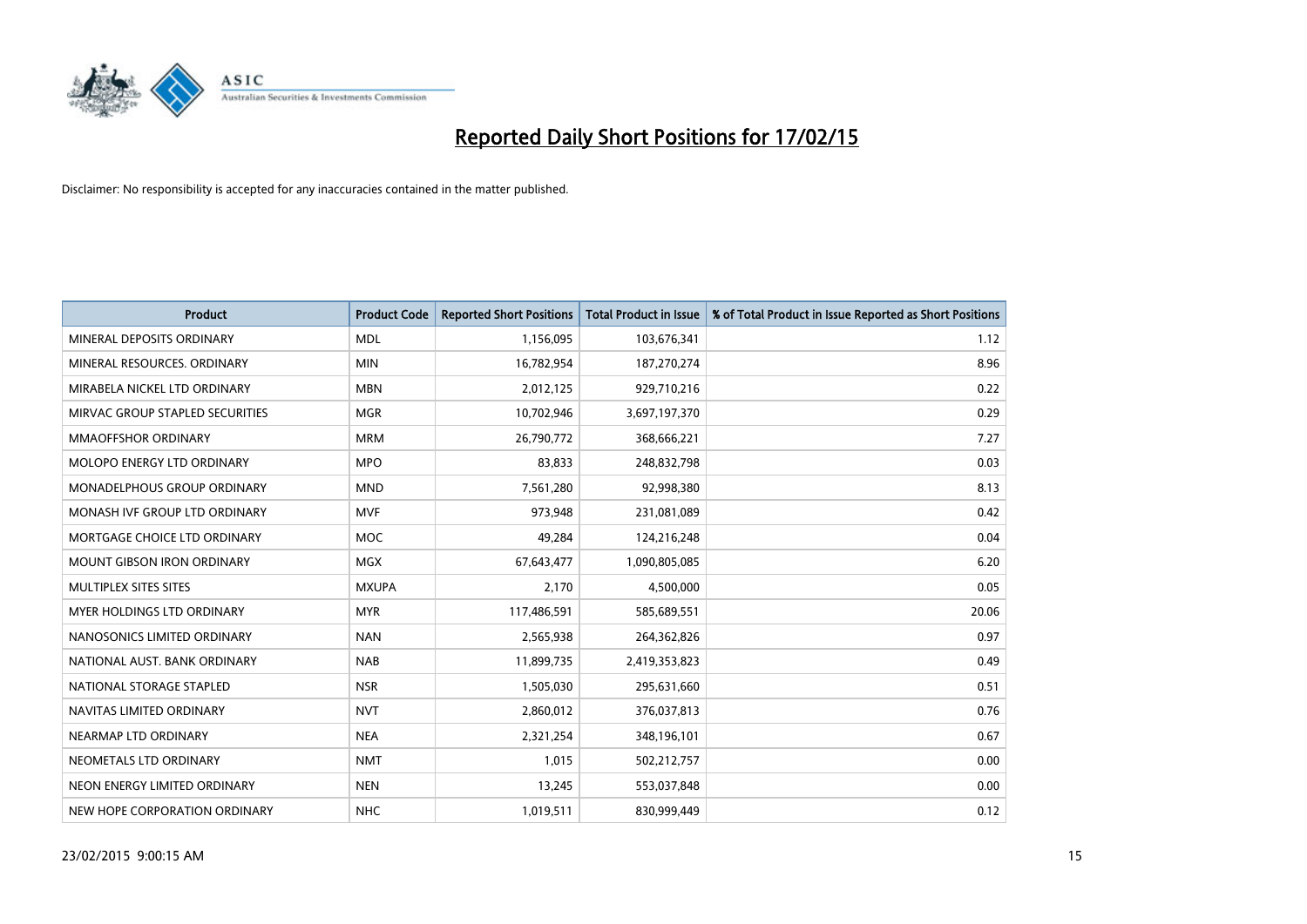

| <b>Product</b>                     | <b>Product Code</b> | <b>Reported Short Positions</b> | <b>Total Product in Issue</b> | % of Total Product in Issue Reported as Short Positions |
|------------------------------------|---------------------|---------------------------------|-------------------------------|---------------------------------------------------------|
| MINERAL DEPOSITS ORDINARY          | <b>MDL</b>          | 1,156,095                       | 103,676,341                   | 1.12                                                    |
| MINERAL RESOURCES, ORDINARY        | <b>MIN</b>          | 16,782,954                      | 187,270,274                   | 8.96                                                    |
| MIRABELA NICKEL LTD ORDINARY       | <b>MBN</b>          | 2,012,125                       | 929,710,216                   | 0.22                                                    |
| MIRVAC GROUP STAPLED SECURITIES    | <b>MGR</b>          | 10,702,946                      | 3,697,197,370                 | 0.29                                                    |
| <b>MMAOFFSHOR ORDINARY</b>         | <b>MRM</b>          | 26,790,772                      | 368,666,221                   | 7.27                                                    |
| MOLOPO ENERGY LTD ORDINARY         | <b>MPO</b>          | 83,833                          | 248,832,798                   | 0.03                                                    |
| <b>MONADELPHOUS GROUP ORDINARY</b> | <b>MND</b>          | 7,561,280                       | 92,998,380                    | 8.13                                                    |
| MONASH IVF GROUP LTD ORDINARY      | <b>MVF</b>          | 973,948                         | 231,081,089                   | 0.42                                                    |
| MORTGAGE CHOICE LTD ORDINARY       | <b>MOC</b>          | 49,284                          | 124,216,248                   | 0.04                                                    |
| <b>MOUNT GIBSON IRON ORDINARY</b>  | <b>MGX</b>          | 67,643,477                      | 1,090,805,085                 | 6.20                                                    |
| MULTIPLEX SITES SITES              | <b>MXUPA</b>        | 2,170                           | 4,500,000                     | 0.05                                                    |
| MYER HOLDINGS LTD ORDINARY         | <b>MYR</b>          | 117,486,591                     | 585,689,551                   | 20.06                                                   |
| NANOSONICS LIMITED ORDINARY        | <b>NAN</b>          | 2,565,938                       | 264,362,826                   | 0.97                                                    |
| NATIONAL AUST. BANK ORDINARY       | <b>NAB</b>          | 11,899,735                      | 2,419,353,823                 | 0.49                                                    |
| NATIONAL STORAGE STAPLED           | <b>NSR</b>          | 1,505,030                       | 295,631,660                   | 0.51                                                    |
| NAVITAS LIMITED ORDINARY           | <b>NVT</b>          | 2,860,012                       | 376,037,813                   | 0.76                                                    |
| NEARMAP LTD ORDINARY               | <b>NEA</b>          | 2,321,254                       | 348,196,101                   | 0.67                                                    |
| NEOMETALS LTD ORDINARY             | <b>NMT</b>          | 1,015                           | 502,212,757                   | 0.00                                                    |
| NEON ENERGY LIMITED ORDINARY       | <b>NEN</b>          | 13,245                          | 553,037,848                   | 0.00                                                    |
| NEW HOPE CORPORATION ORDINARY      | <b>NHC</b>          | 1,019,511                       | 830,999,449                   | 0.12                                                    |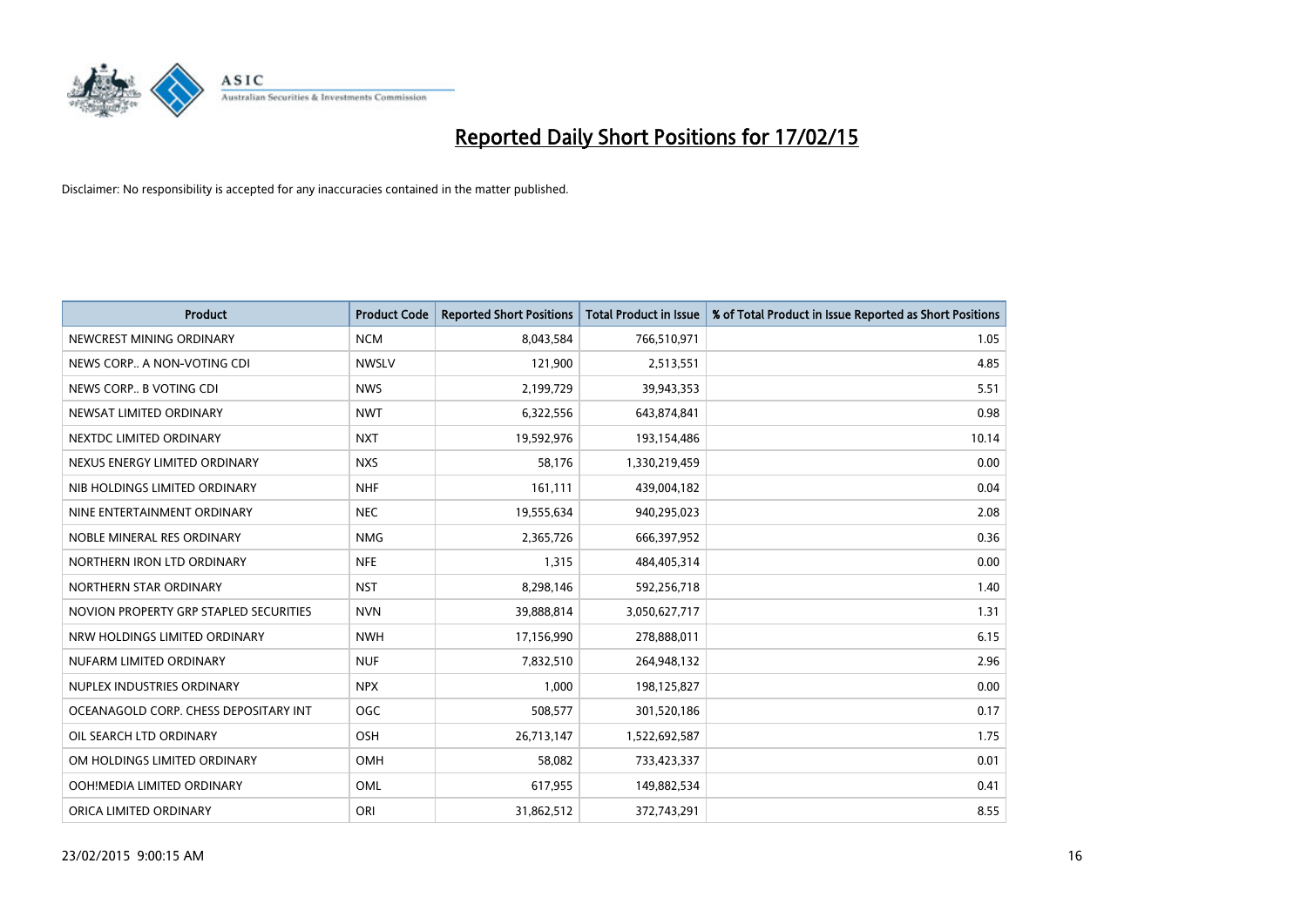

| <b>Product</b>                         | <b>Product Code</b> | <b>Reported Short Positions</b> | <b>Total Product in Issue</b> | % of Total Product in Issue Reported as Short Positions |
|----------------------------------------|---------------------|---------------------------------|-------------------------------|---------------------------------------------------------|
| NEWCREST MINING ORDINARY               | <b>NCM</b>          | 8,043,584                       | 766,510,971                   | 1.05                                                    |
| NEWS CORP A NON-VOTING CDI             | <b>NWSLV</b>        | 121,900                         | 2,513,551                     | 4.85                                                    |
| NEWS CORP B VOTING CDI                 | <b>NWS</b>          | 2,199,729                       | 39,943,353                    | 5.51                                                    |
| NEWSAT LIMITED ORDINARY                | <b>NWT</b>          | 6,322,556                       | 643,874,841                   | 0.98                                                    |
| NEXTDC LIMITED ORDINARY                | <b>NXT</b>          | 19,592,976                      | 193,154,486                   | 10.14                                                   |
| NEXUS ENERGY LIMITED ORDINARY          | <b>NXS</b>          | 58,176                          | 1,330,219,459                 | 0.00                                                    |
| NIB HOLDINGS LIMITED ORDINARY          | <b>NHF</b>          | 161,111                         | 439,004,182                   | 0.04                                                    |
| NINE ENTERTAINMENT ORDINARY            | <b>NEC</b>          | 19,555,634                      | 940,295,023                   | 2.08                                                    |
| NOBLE MINERAL RES ORDINARY             | <b>NMG</b>          | 2,365,726                       | 666,397,952                   | 0.36                                                    |
| NORTHERN IRON LTD ORDINARY             | <b>NFE</b>          | 1,315                           | 484,405,314                   | 0.00                                                    |
| NORTHERN STAR ORDINARY                 | <b>NST</b>          | 8,298,146                       | 592,256,718                   | 1.40                                                    |
| NOVION PROPERTY GRP STAPLED SECURITIES | <b>NVN</b>          | 39,888,814                      | 3,050,627,717                 | 1.31                                                    |
| NRW HOLDINGS LIMITED ORDINARY          | <b>NWH</b>          | 17,156,990                      | 278,888,011                   | 6.15                                                    |
| NUFARM LIMITED ORDINARY                | <b>NUF</b>          | 7,832,510                       | 264,948,132                   | 2.96                                                    |
| NUPLEX INDUSTRIES ORDINARY             | <b>NPX</b>          | 1,000                           | 198,125,827                   | 0.00                                                    |
| OCEANAGOLD CORP. CHESS DEPOSITARY INT  | <b>OGC</b>          | 508,577                         | 301,520,186                   | 0.17                                                    |
| OIL SEARCH LTD ORDINARY                | OSH                 | 26,713,147                      | 1,522,692,587                 | 1.75                                                    |
| OM HOLDINGS LIMITED ORDINARY           | OMH                 | 58,082                          | 733,423,337                   | 0.01                                                    |
| OOH!MEDIA LIMITED ORDINARY             | <b>OML</b>          | 617,955                         | 149,882,534                   | 0.41                                                    |
| ORICA LIMITED ORDINARY                 | ORI                 | 31,862,512                      | 372,743,291                   | 8.55                                                    |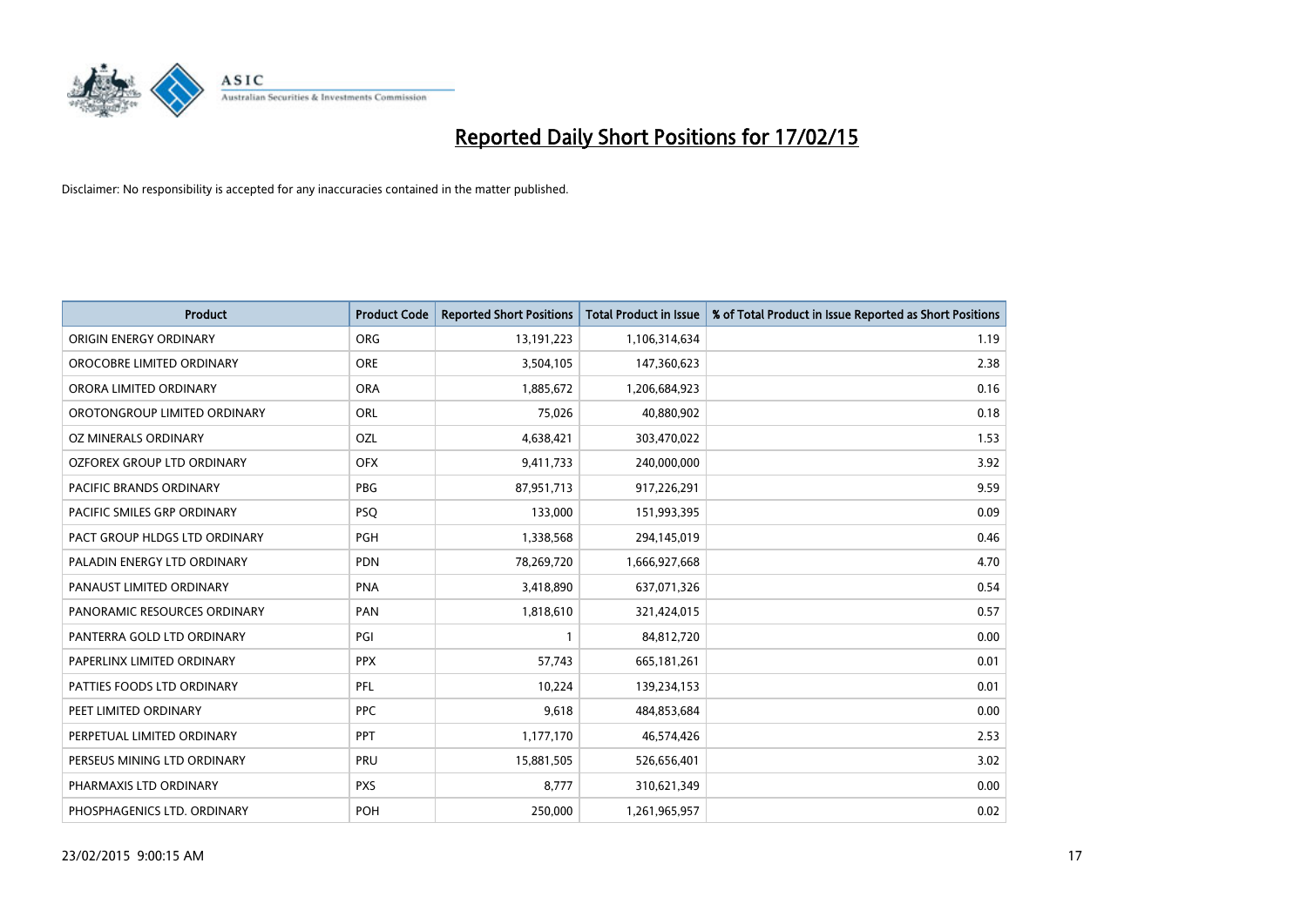

| <b>Product</b>                 | <b>Product Code</b> | <b>Reported Short Positions</b> | <b>Total Product in Issue</b> | % of Total Product in Issue Reported as Short Positions |
|--------------------------------|---------------------|---------------------------------|-------------------------------|---------------------------------------------------------|
| ORIGIN ENERGY ORDINARY         | <b>ORG</b>          | 13, 191, 223                    | 1,106,314,634                 | 1.19                                                    |
| OROCOBRE LIMITED ORDINARY      | <b>ORE</b>          | 3,504,105                       | 147,360,623                   | 2.38                                                    |
| ORORA LIMITED ORDINARY         | <b>ORA</b>          | 1,885,672                       | 1,206,684,923                 | 0.16                                                    |
| OROTONGROUP LIMITED ORDINARY   | ORL                 | 75,026                          | 40,880,902                    | 0.18                                                    |
| OZ MINERALS ORDINARY           | <b>OZL</b>          | 4,638,421                       | 303,470,022                   | 1.53                                                    |
| OZFOREX GROUP LTD ORDINARY     | <b>OFX</b>          | 9,411,733                       | 240,000,000                   | 3.92                                                    |
| <b>PACIFIC BRANDS ORDINARY</b> | <b>PBG</b>          | 87,951,713                      | 917,226,291                   | 9.59                                                    |
| PACIFIC SMILES GRP ORDINARY    | <b>PSQ</b>          | 133,000                         | 151,993,395                   | 0.09                                                    |
| PACT GROUP HLDGS LTD ORDINARY  | <b>PGH</b>          | 1,338,568                       | 294,145,019                   | 0.46                                                    |
| PALADIN ENERGY LTD ORDINARY    | <b>PDN</b>          | 78,269,720                      | 1,666,927,668                 | 4.70                                                    |
| PANAUST LIMITED ORDINARY       | <b>PNA</b>          | 3,418,890                       | 637,071,326                   | 0.54                                                    |
| PANORAMIC RESOURCES ORDINARY   | PAN                 | 1,818,610                       | 321,424,015                   | 0.57                                                    |
| PANTERRA GOLD LTD ORDINARY     | PGI                 | 1                               | 84,812,720                    | 0.00                                                    |
| PAPERLINX LIMITED ORDINARY     | <b>PPX</b>          | 57,743                          | 665, 181, 261                 | 0.01                                                    |
| PATTIES FOODS LTD ORDINARY     | PFL                 | 10,224                          | 139,234,153                   | 0.01                                                    |
| PEET LIMITED ORDINARY          | <b>PPC</b>          | 9,618                           | 484,853,684                   | 0.00                                                    |
| PERPETUAL LIMITED ORDINARY     | <b>PPT</b>          | 1,177,170                       | 46,574,426                    | 2.53                                                    |
| PERSEUS MINING LTD ORDINARY    | PRU                 | 15,881,505                      | 526,656,401                   | 3.02                                                    |
| PHARMAXIS LTD ORDINARY         | <b>PXS</b>          | 8,777                           | 310,621,349                   | 0.00                                                    |
| PHOSPHAGENICS LTD. ORDINARY    | POH                 | 250,000                         | 1,261,965,957                 | 0.02                                                    |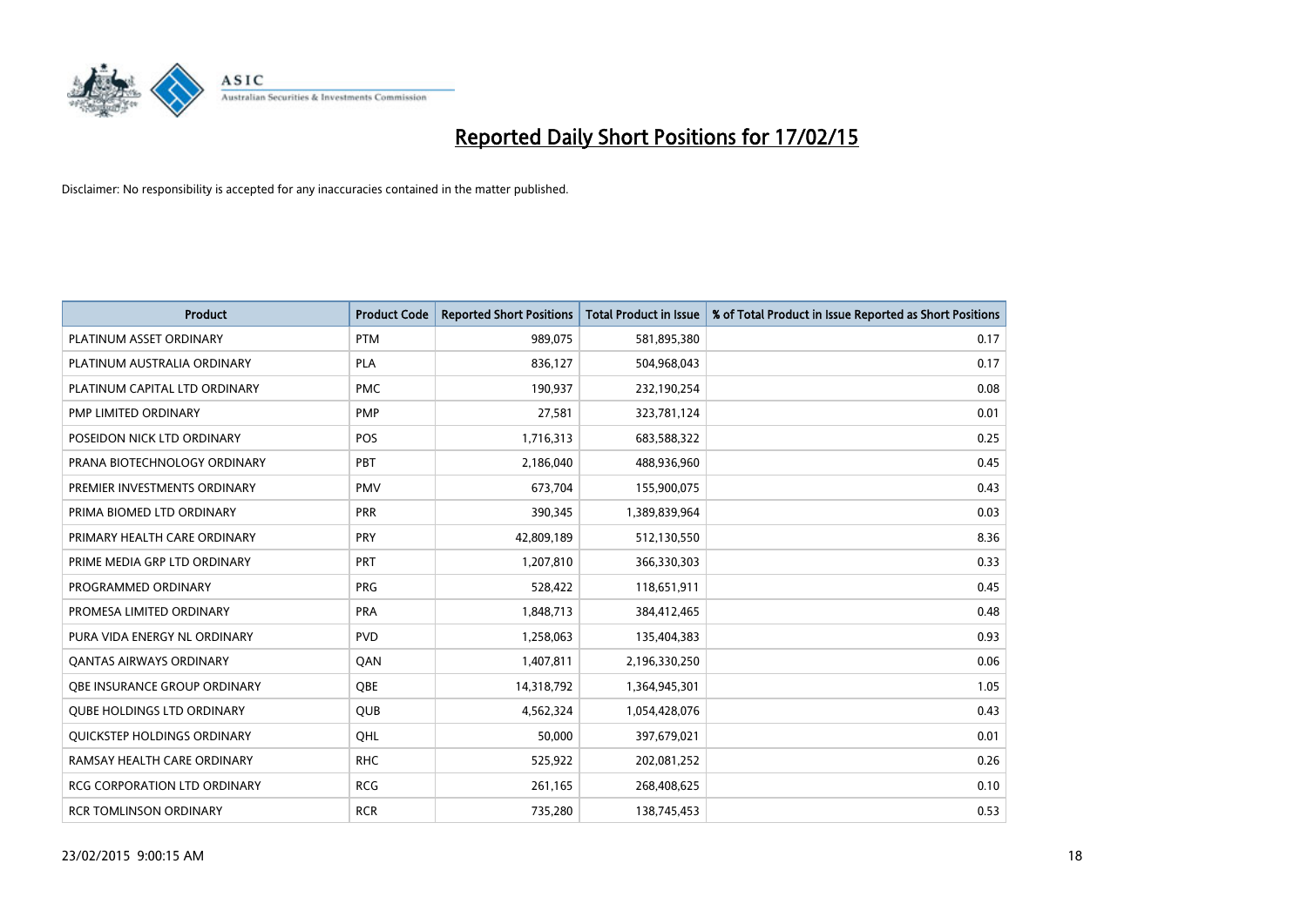

| <b>Product</b>                      | <b>Product Code</b> | <b>Reported Short Positions</b> | <b>Total Product in Issue</b> | % of Total Product in Issue Reported as Short Positions |
|-------------------------------------|---------------------|---------------------------------|-------------------------------|---------------------------------------------------------|
| PLATINUM ASSET ORDINARY             | <b>PTM</b>          | 989,075                         | 581,895,380                   | 0.17                                                    |
| PLATINUM AUSTRALIA ORDINARY         | <b>PLA</b>          | 836,127                         | 504,968,043                   | 0.17                                                    |
| PLATINUM CAPITAL LTD ORDINARY       | <b>PMC</b>          | 190,937                         | 232,190,254                   | 0.08                                                    |
| PMP LIMITED ORDINARY                | <b>PMP</b>          | 27,581                          | 323,781,124                   | 0.01                                                    |
| POSEIDON NICK LTD ORDINARY          | <b>POS</b>          | 1,716,313                       | 683,588,322                   | 0.25                                                    |
| PRANA BIOTECHNOLOGY ORDINARY        | PBT                 | 2,186,040                       | 488,936,960                   | 0.45                                                    |
| PREMIER INVESTMENTS ORDINARY        | <b>PMV</b>          | 673,704                         | 155,900,075                   | 0.43                                                    |
| PRIMA BIOMED LTD ORDINARY           | <b>PRR</b>          | 390,345                         | 1,389,839,964                 | 0.03                                                    |
| PRIMARY HEALTH CARE ORDINARY        | <b>PRY</b>          | 42,809,189                      | 512,130,550                   | 8.36                                                    |
| PRIME MEDIA GRP LTD ORDINARY        | <b>PRT</b>          | 1,207,810                       | 366,330,303                   | 0.33                                                    |
| PROGRAMMED ORDINARY                 | <b>PRG</b>          | 528,422                         | 118,651,911                   | 0.45                                                    |
| PROMESA LIMITED ORDINARY            | <b>PRA</b>          | 1,848,713                       | 384,412,465                   | 0.48                                                    |
| PURA VIDA ENERGY NL ORDINARY        | <b>PVD</b>          | 1,258,063                       | 135,404,383                   | 0.93                                                    |
| <b>QANTAS AIRWAYS ORDINARY</b>      | QAN                 | 1,407,811                       | 2,196,330,250                 | 0.06                                                    |
| OBE INSURANCE GROUP ORDINARY        | <b>OBE</b>          | 14,318,792                      | 1,364,945,301                 | 1.05                                                    |
| QUBE HOLDINGS LTD ORDINARY          | QUB                 | 4,562,324                       | 1,054,428,076                 | 0.43                                                    |
| QUICKSTEP HOLDINGS ORDINARY         | QHL                 | 50,000                          | 397,679,021                   | 0.01                                                    |
| RAMSAY HEALTH CARE ORDINARY         | <b>RHC</b>          | 525,922                         | 202,081,252                   | 0.26                                                    |
| <b>RCG CORPORATION LTD ORDINARY</b> | <b>RCG</b>          | 261,165                         | 268,408,625                   | 0.10                                                    |
| <b>RCR TOMLINSON ORDINARY</b>       | <b>RCR</b>          | 735,280                         | 138,745,453                   | 0.53                                                    |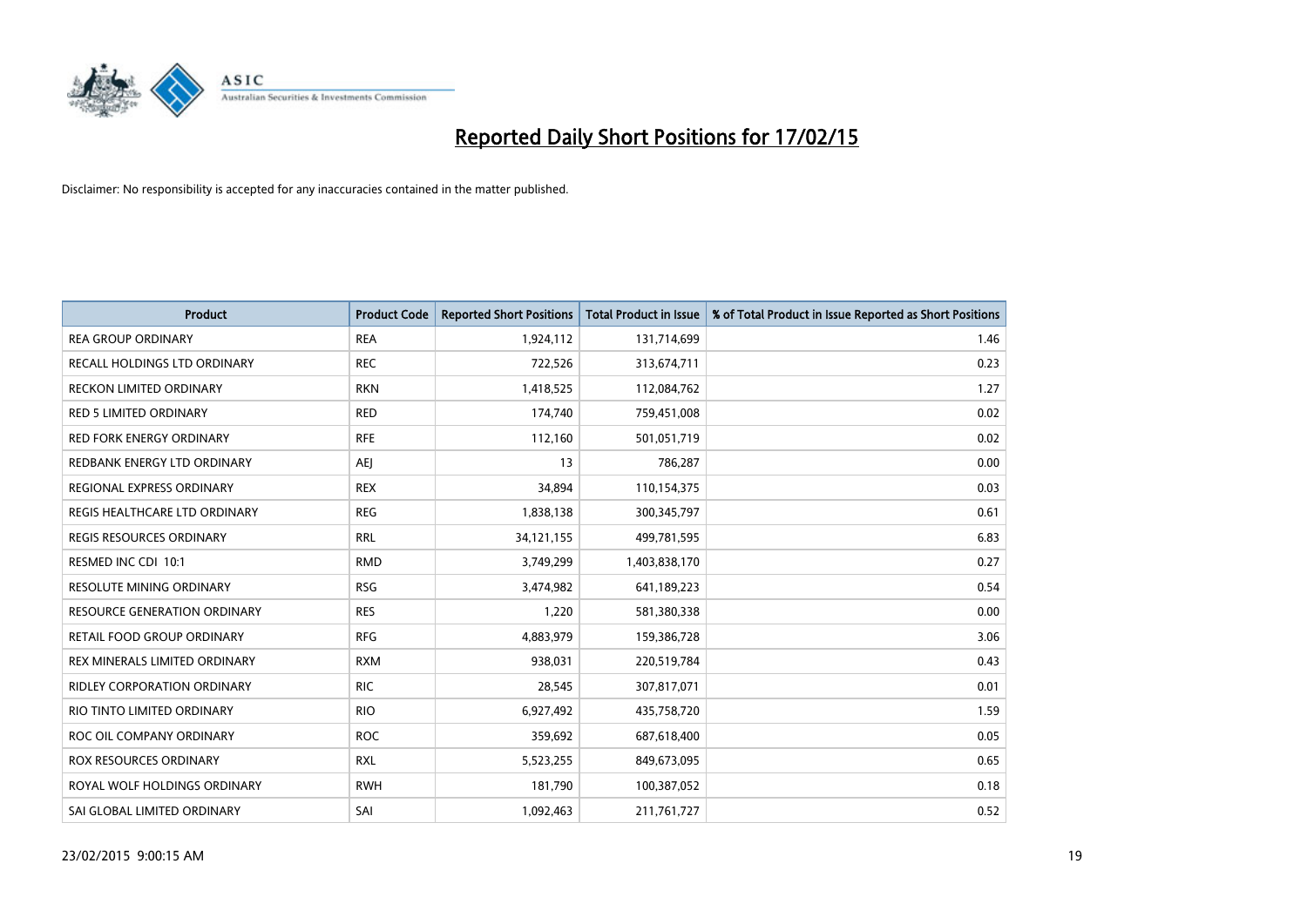

| <b>Product</b>                      | <b>Product Code</b> | <b>Reported Short Positions</b> | <b>Total Product in Issue</b> | % of Total Product in Issue Reported as Short Positions |
|-------------------------------------|---------------------|---------------------------------|-------------------------------|---------------------------------------------------------|
| <b>REA GROUP ORDINARY</b>           | <b>REA</b>          | 1,924,112                       | 131,714,699                   | 1.46                                                    |
| RECALL HOLDINGS LTD ORDINARY        | <b>REC</b>          | 722,526                         | 313,674,711                   | 0.23                                                    |
| <b>RECKON LIMITED ORDINARY</b>      | <b>RKN</b>          | 1,418,525                       | 112,084,762                   | 1.27                                                    |
| <b>RED 5 LIMITED ORDINARY</b>       | <b>RED</b>          | 174,740                         | 759,451,008                   | 0.02                                                    |
| <b>RED FORK ENERGY ORDINARY</b>     | <b>RFE</b>          | 112,160                         | 501,051,719                   | 0.02                                                    |
| REDBANK ENERGY LTD ORDINARY         | <b>AEJ</b>          | 13                              | 786,287                       | 0.00                                                    |
| REGIONAL EXPRESS ORDINARY           | <b>REX</b>          | 34,894                          | 110,154,375                   | 0.03                                                    |
| REGIS HEALTHCARE LTD ORDINARY       | <b>REG</b>          | 1,838,138                       | 300, 345, 797                 | 0.61                                                    |
| <b>REGIS RESOURCES ORDINARY</b>     | <b>RRL</b>          | 34,121,155                      | 499,781,595                   | 6.83                                                    |
| RESMED INC CDI 10:1                 | <b>RMD</b>          | 3,749,299                       | 1,403,838,170                 | 0.27                                                    |
| RESOLUTE MINING ORDINARY            | <b>RSG</b>          | 3,474,982                       | 641,189,223                   | 0.54                                                    |
| <b>RESOURCE GENERATION ORDINARY</b> | <b>RES</b>          | 1,220                           | 581,380,338                   | 0.00                                                    |
| RETAIL FOOD GROUP ORDINARY          | <b>RFG</b>          | 4,883,979                       | 159,386,728                   | 3.06                                                    |
| REX MINERALS LIMITED ORDINARY       | <b>RXM</b>          | 938,031                         | 220,519,784                   | 0.43                                                    |
| <b>RIDLEY CORPORATION ORDINARY</b>  | <b>RIC</b>          | 28,545                          | 307,817,071                   | 0.01                                                    |
| RIO TINTO LIMITED ORDINARY          | <b>RIO</b>          | 6,927,492                       | 435,758,720                   | 1.59                                                    |
| ROC OIL COMPANY ORDINARY            | <b>ROC</b>          | 359,692                         | 687,618,400                   | 0.05                                                    |
| ROX RESOURCES ORDINARY              | <b>RXL</b>          | 5,523,255                       | 849,673,095                   | 0.65                                                    |
| ROYAL WOLF HOLDINGS ORDINARY        | <b>RWH</b>          | 181,790                         | 100,387,052                   | 0.18                                                    |
| SAI GLOBAL LIMITED ORDINARY         | SAI                 | 1,092,463                       | 211,761,727                   | 0.52                                                    |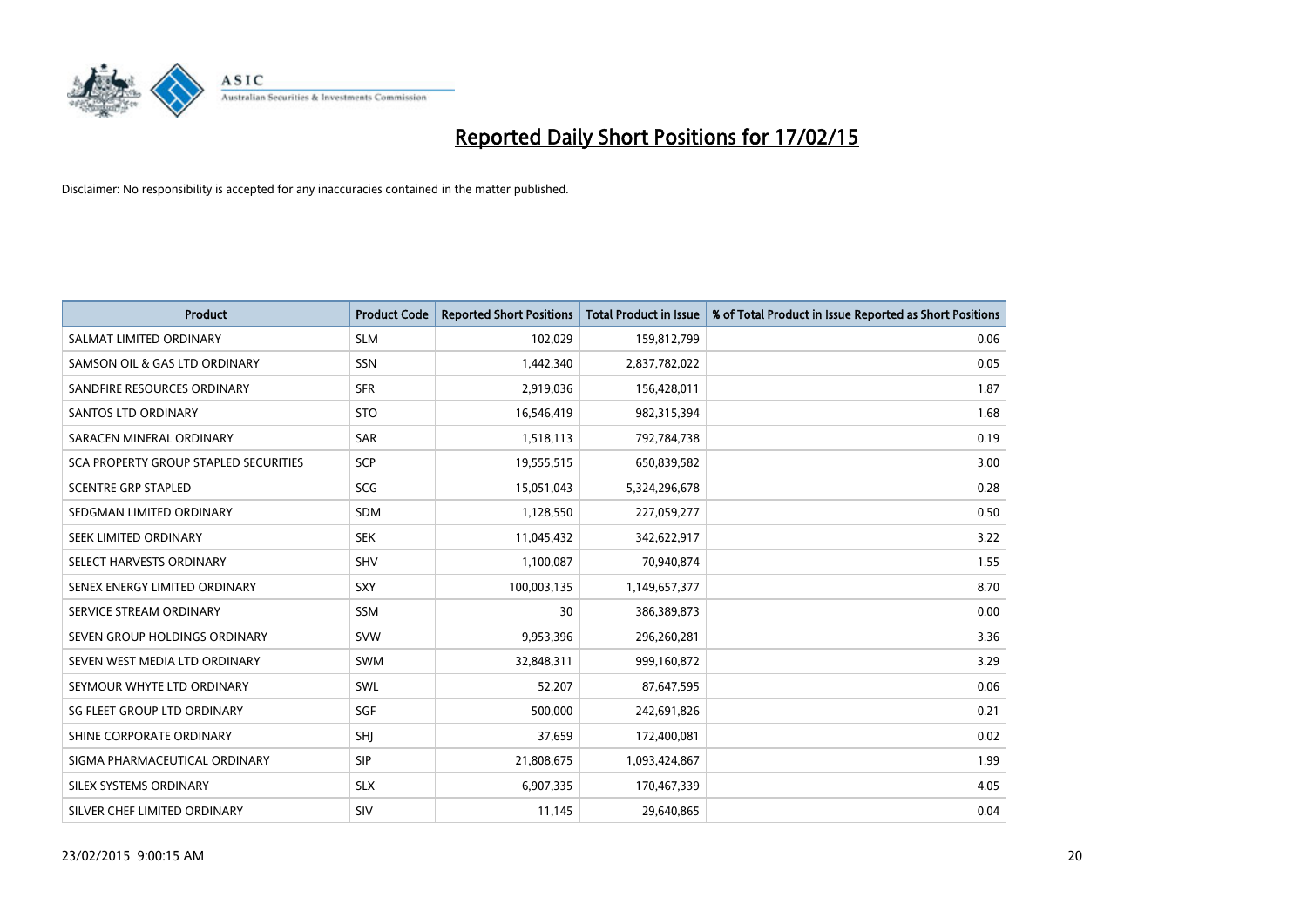

| <b>Product</b>                        | <b>Product Code</b> | <b>Reported Short Positions</b> | <b>Total Product in Issue</b> | % of Total Product in Issue Reported as Short Positions |
|---------------------------------------|---------------------|---------------------------------|-------------------------------|---------------------------------------------------------|
| SALMAT LIMITED ORDINARY               | <b>SLM</b>          | 102,029                         | 159,812,799                   | 0.06                                                    |
| SAMSON OIL & GAS LTD ORDINARY         | SSN                 | 1,442,340                       | 2,837,782,022                 | 0.05                                                    |
| SANDFIRE RESOURCES ORDINARY           | <b>SFR</b>          | 2,919,036                       | 156,428,011                   | 1.87                                                    |
| SANTOS LTD ORDINARY                   | <b>STO</b>          | 16,546,419                      | 982,315,394                   | 1.68                                                    |
| SARACEN MINERAL ORDINARY              | <b>SAR</b>          | 1,518,113                       | 792,784,738                   | 0.19                                                    |
| SCA PROPERTY GROUP STAPLED SECURITIES | SCP                 | 19,555,515                      | 650,839,582                   | 3.00                                                    |
| <b>SCENTRE GRP STAPLED</b>            | <b>SCG</b>          | 15,051,043                      | 5,324,296,678                 | 0.28                                                    |
| SEDGMAN LIMITED ORDINARY              | SDM                 | 1,128,550                       | 227,059,277                   | 0.50                                                    |
| SEEK LIMITED ORDINARY                 | <b>SEK</b>          | 11,045,432                      | 342,622,917                   | 3.22                                                    |
| SELECT HARVESTS ORDINARY              | SHV                 | 1,100,087                       | 70,940,874                    | 1.55                                                    |
| SENEX ENERGY LIMITED ORDINARY         | <b>SXY</b>          | 100,003,135                     | 1,149,657,377                 | 8.70                                                    |
| SERVICE STREAM ORDINARY               | SSM                 | 30                              | 386,389,873                   | 0.00                                                    |
| SEVEN GROUP HOLDINGS ORDINARY         | <b>SVW</b>          | 9,953,396                       | 296,260,281                   | 3.36                                                    |
| SEVEN WEST MEDIA LTD ORDINARY         | SWM                 | 32,848,311                      | 999,160,872                   | 3.29                                                    |
| SEYMOUR WHYTE LTD ORDINARY            | SWL                 | 52,207                          | 87,647,595                    | 0.06                                                    |
| SG FLEET GROUP LTD ORDINARY           | SGF                 | 500,000                         | 242,691,826                   | 0.21                                                    |
| SHINE CORPORATE ORDINARY              | SHJ                 | 37,659                          | 172,400,081                   | 0.02                                                    |
| SIGMA PHARMACEUTICAL ORDINARY         | <b>SIP</b>          | 21,808,675                      | 1,093,424,867                 | 1.99                                                    |
| SILEX SYSTEMS ORDINARY                | <b>SLX</b>          | 6,907,335                       | 170,467,339                   | 4.05                                                    |
| SILVER CHEF LIMITED ORDINARY          | SIV                 | 11,145                          | 29,640,865                    | 0.04                                                    |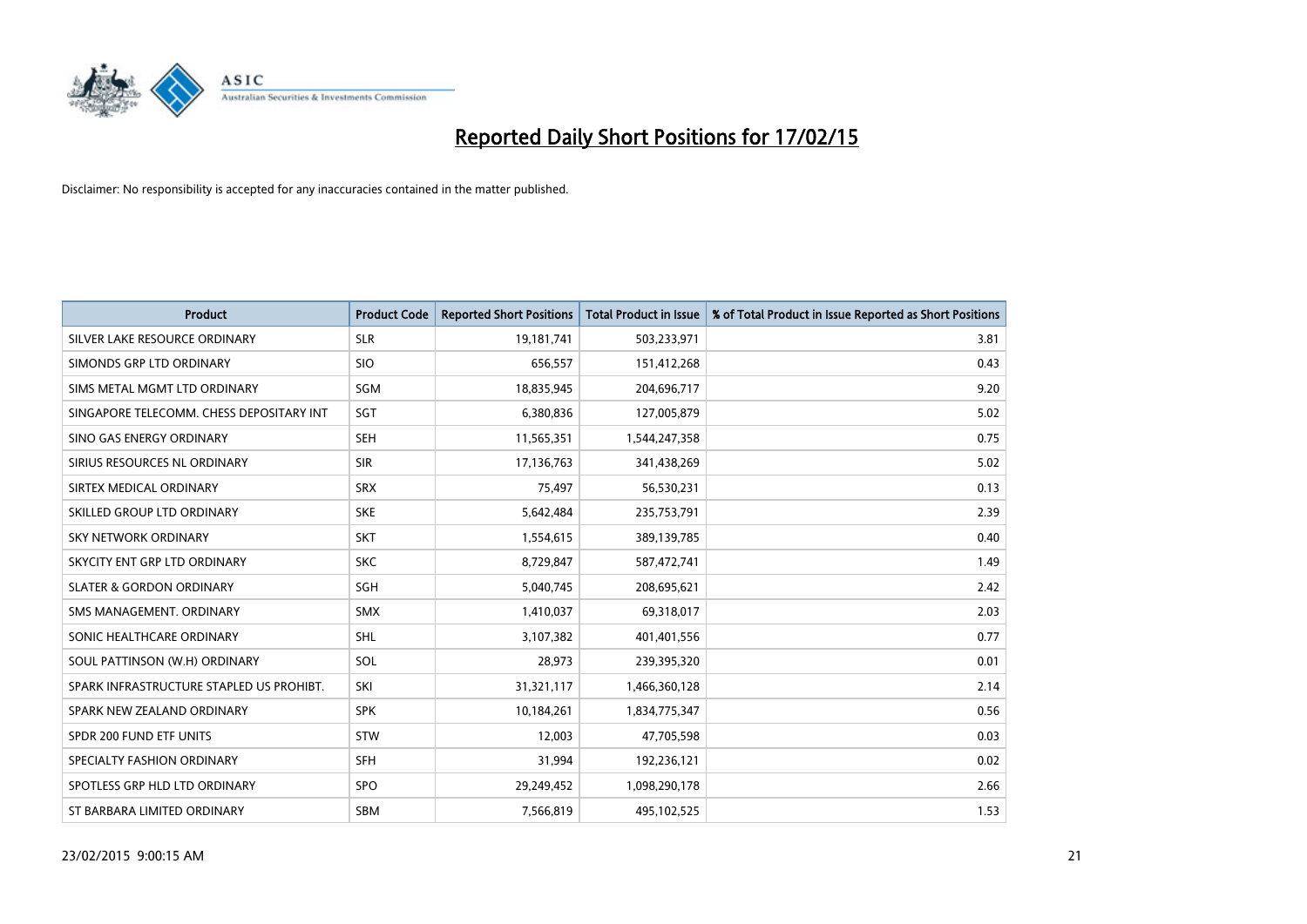

| <b>Product</b>                           | <b>Product Code</b> | <b>Reported Short Positions</b> | <b>Total Product in Issue</b> | % of Total Product in Issue Reported as Short Positions |
|------------------------------------------|---------------------|---------------------------------|-------------------------------|---------------------------------------------------------|
| SILVER LAKE RESOURCE ORDINARY            | <b>SLR</b>          | 19,181,741                      | 503,233,971                   | 3.81                                                    |
| SIMONDS GRP LTD ORDINARY                 | <b>SIO</b>          | 656,557                         | 151,412,268                   | 0.43                                                    |
| SIMS METAL MGMT LTD ORDINARY             | <b>SGM</b>          | 18,835,945                      | 204,696,717                   | 9.20                                                    |
| SINGAPORE TELECOMM. CHESS DEPOSITARY INT | SGT                 | 6,380,836                       | 127,005,879                   | 5.02                                                    |
| SINO GAS ENERGY ORDINARY                 | <b>SEH</b>          | 11,565,351                      | 1,544,247,358                 | 0.75                                                    |
| SIRIUS RESOURCES NL ORDINARY             | <b>SIR</b>          | 17,136,763                      | 341,438,269                   | 5.02                                                    |
| SIRTEX MEDICAL ORDINARY                  | <b>SRX</b>          | 75,497                          | 56,530,231                    | 0.13                                                    |
| SKILLED GROUP LTD ORDINARY               | <b>SKE</b>          | 5,642,484                       | 235,753,791                   | 2.39                                                    |
| <b>SKY NETWORK ORDINARY</b>              | <b>SKT</b>          | 1,554,615                       | 389,139,785                   | 0.40                                                    |
| SKYCITY ENT GRP LTD ORDINARY             | <b>SKC</b>          | 8,729,847                       | 587,472,741                   | 1.49                                                    |
| <b>SLATER &amp; GORDON ORDINARY</b>      | SGH                 | 5,040,745                       | 208,695,621                   | 2.42                                                    |
| SMS MANAGEMENT, ORDINARY                 | <b>SMX</b>          | 1,410,037                       | 69,318,017                    | 2.03                                                    |
| SONIC HEALTHCARE ORDINARY                | SHL                 | 3,107,382                       | 401,401,556                   | 0.77                                                    |
| SOUL PATTINSON (W.H) ORDINARY            | SOL                 | 28,973                          | 239,395,320                   | 0.01                                                    |
| SPARK INFRASTRUCTURE STAPLED US PROHIBT. | SKI                 | 31,321,117                      | 1,466,360,128                 | 2.14                                                    |
| SPARK NEW ZEALAND ORDINARY               | <b>SPK</b>          | 10,184,261                      | 1,834,775,347                 | 0.56                                                    |
| SPDR 200 FUND ETF UNITS                  | STW                 | 12,003                          | 47,705,598                    | 0.03                                                    |
| SPECIALTY FASHION ORDINARY               | <b>SFH</b>          | 31,994                          | 192,236,121                   | 0.02                                                    |
| SPOTLESS GRP HLD LTD ORDINARY            | <b>SPO</b>          | 29,249,452                      | 1,098,290,178                 | 2.66                                                    |
| ST BARBARA LIMITED ORDINARY              | <b>SBM</b>          | 7,566,819                       | 495,102,525                   | 1.53                                                    |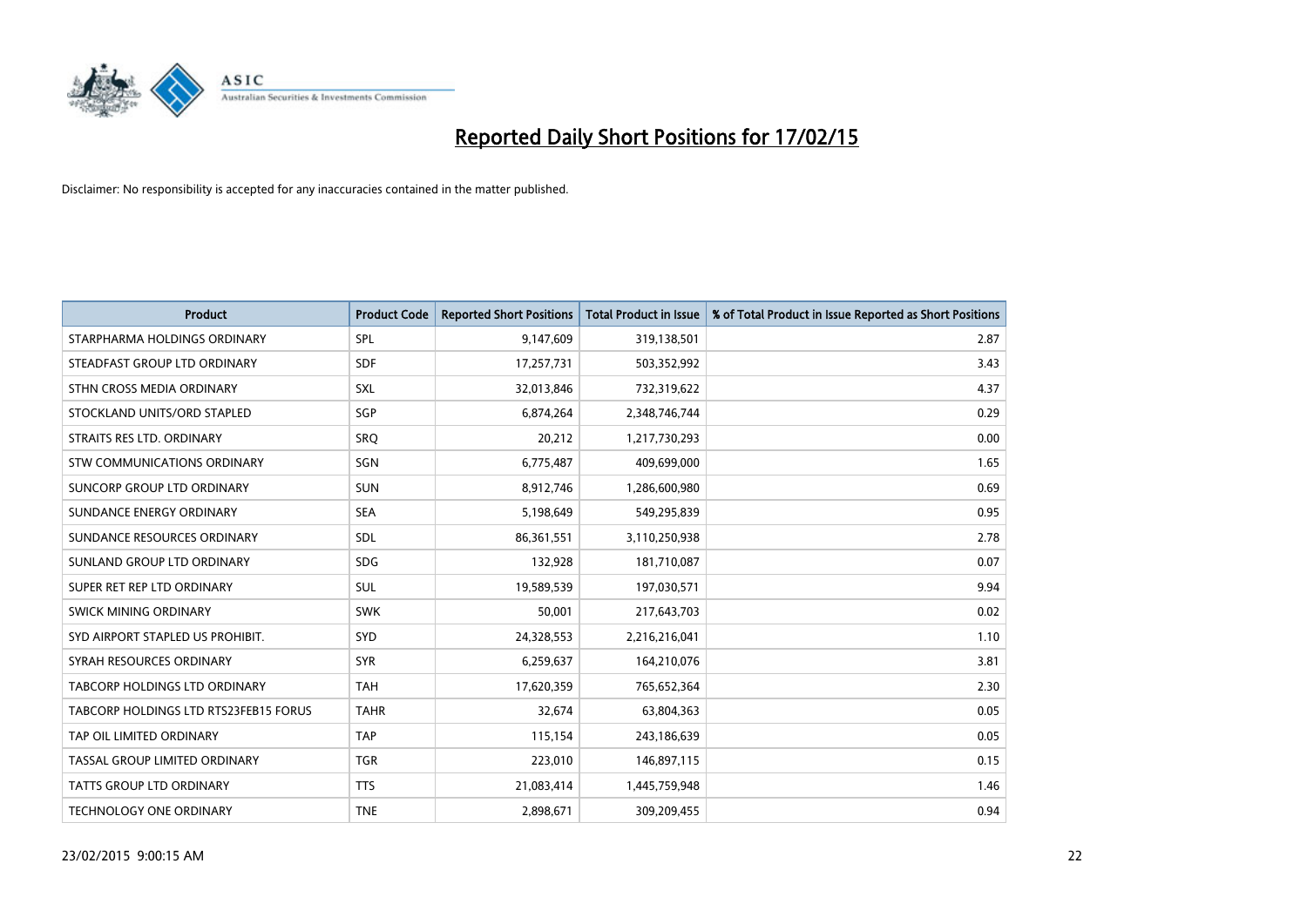

| <b>Product</b>                        | <b>Product Code</b> | <b>Reported Short Positions</b> | <b>Total Product in Issue</b> | % of Total Product in Issue Reported as Short Positions |
|---------------------------------------|---------------------|---------------------------------|-------------------------------|---------------------------------------------------------|
| STARPHARMA HOLDINGS ORDINARY          | SPL                 | 9,147,609                       | 319,138,501                   | 2.87                                                    |
| STEADFAST GROUP LTD ORDINARY          | <b>SDF</b>          | 17,257,731                      | 503,352,992                   | 3.43                                                    |
| STHN CROSS MEDIA ORDINARY             | <b>SXL</b>          | 32,013,846                      | 732,319,622                   | 4.37                                                    |
| STOCKLAND UNITS/ORD STAPLED           | SGP                 | 6,874,264                       | 2,348,746,744                 | 0.29                                                    |
| STRAITS RES LTD. ORDINARY             | SRO                 | 20,212                          | 1,217,730,293                 | 0.00                                                    |
| STW COMMUNICATIONS ORDINARY           | SGN                 | 6,775,487                       | 409,699,000                   | 1.65                                                    |
| SUNCORP GROUP LTD ORDINARY            | <b>SUN</b>          | 8,912,746                       | 1,286,600,980                 | 0.69                                                    |
| SUNDANCE ENERGY ORDINARY              | <b>SEA</b>          | 5,198,649                       | 549,295,839                   | 0.95                                                    |
| SUNDANCE RESOURCES ORDINARY           | SDL                 | 86,361,551                      | 3,110,250,938                 | 2.78                                                    |
| SUNLAND GROUP LTD ORDINARY            | <b>SDG</b>          | 132,928                         | 181,710,087                   | 0.07                                                    |
| SUPER RET REP LTD ORDINARY            | SUL                 | 19,589,539                      | 197,030,571                   | 9.94                                                    |
| SWICK MINING ORDINARY                 | <b>SWK</b>          | 50,001                          | 217,643,703                   | 0.02                                                    |
| SYD AIRPORT STAPLED US PROHIBIT.      | <b>SYD</b>          | 24,328,553                      | 2,216,216,041                 | 1.10                                                    |
| SYRAH RESOURCES ORDINARY              | <b>SYR</b>          | 6,259,637                       | 164,210,076                   | 3.81                                                    |
| TABCORP HOLDINGS LTD ORDINARY         | <b>TAH</b>          | 17,620,359                      | 765,652,364                   | 2.30                                                    |
| TABCORP HOLDINGS LTD RTS23FEB15 FORUS | <b>TAHR</b>         | 32,674                          | 63,804,363                    | 0.05                                                    |
| TAP OIL LIMITED ORDINARY              | <b>TAP</b>          | 115,154                         | 243,186,639                   | 0.05                                                    |
| TASSAL GROUP LIMITED ORDINARY         | <b>TGR</b>          | 223,010                         | 146,897,115                   | 0.15                                                    |
| <b>TATTS GROUP LTD ORDINARY</b>       | <b>TTS</b>          | 21,083,414                      | 1,445,759,948                 | 1.46                                                    |
| <b>TECHNOLOGY ONE ORDINARY</b>        | <b>TNE</b>          | 2,898,671                       | 309,209,455                   | 0.94                                                    |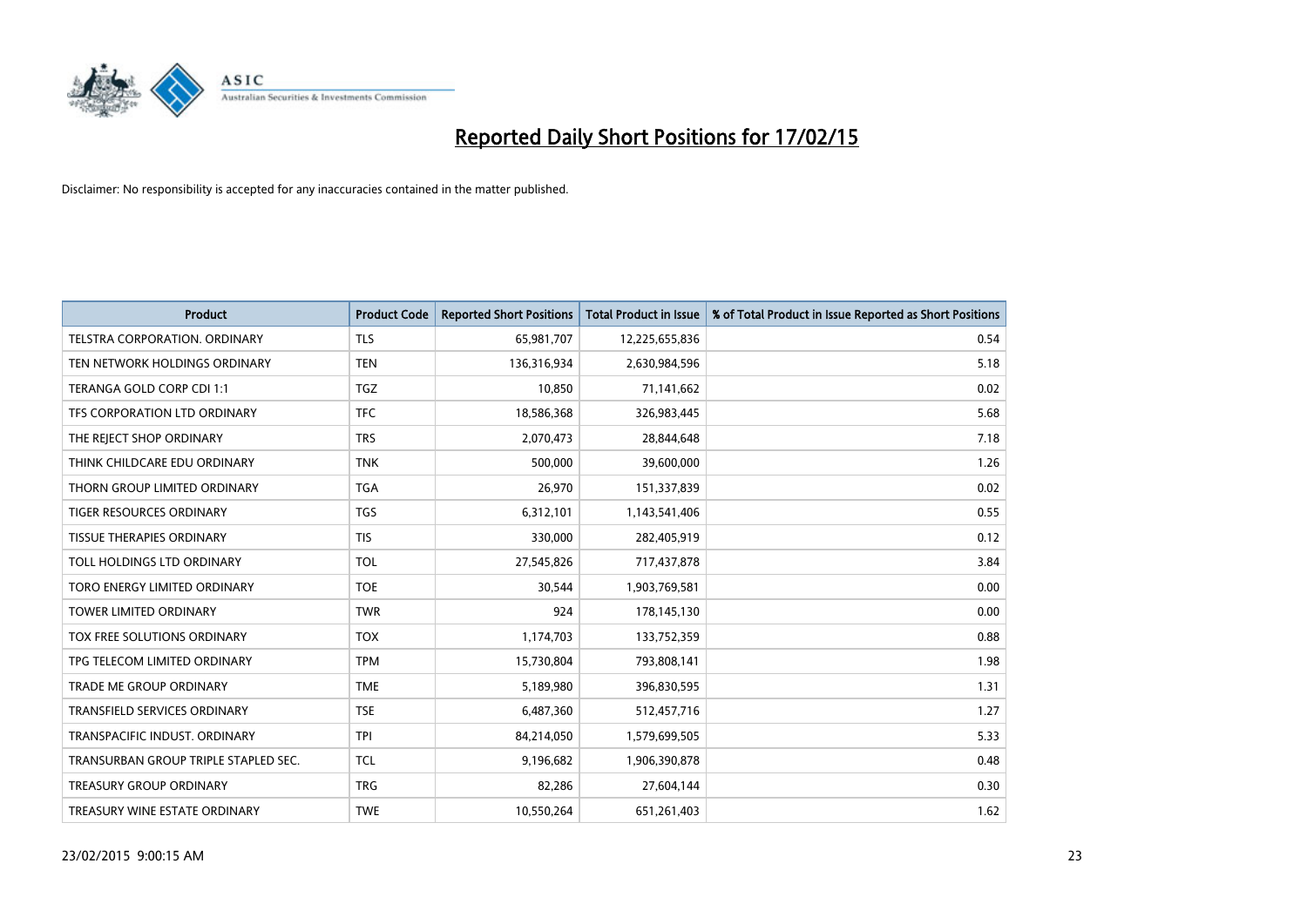

| <b>Product</b>                       | <b>Product Code</b> | <b>Reported Short Positions</b> | <b>Total Product in Issue</b> | % of Total Product in Issue Reported as Short Positions |
|--------------------------------------|---------------------|---------------------------------|-------------------------------|---------------------------------------------------------|
| <b>TELSTRA CORPORATION, ORDINARY</b> | <b>TLS</b>          | 65,981,707                      | 12,225,655,836                | 0.54                                                    |
| TEN NETWORK HOLDINGS ORDINARY        | <b>TEN</b>          | 136,316,934                     | 2,630,984,596                 | 5.18                                                    |
| TERANGA GOLD CORP CDI 1:1            | <b>TGZ</b>          | 10,850                          | 71,141,662                    | 0.02                                                    |
| TFS CORPORATION LTD ORDINARY         | <b>TFC</b>          | 18,586,368                      | 326,983,445                   | 5.68                                                    |
| THE REJECT SHOP ORDINARY             | <b>TRS</b>          | 2,070,473                       | 28,844,648                    | 7.18                                                    |
| THINK CHILDCARE EDU ORDINARY         | <b>TNK</b>          | 500,000                         | 39,600,000                    | 1.26                                                    |
| THORN GROUP LIMITED ORDINARY         | <b>TGA</b>          | 26,970                          | 151,337,839                   | 0.02                                                    |
| TIGER RESOURCES ORDINARY             | TGS                 | 6,312,101                       | 1,143,541,406                 | 0.55                                                    |
| TISSUE THERAPIES ORDINARY            | <b>TIS</b>          | 330,000                         | 282,405,919                   | 0.12                                                    |
| TOLL HOLDINGS LTD ORDINARY           | <b>TOL</b>          | 27,545,826                      | 717,437,878                   | 3.84                                                    |
| TORO ENERGY LIMITED ORDINARY         | <b>TOE</b>          | 30,544                          | 1,903,769,581                 | 0.00                                                    |
| <b>TOWER LIMITED ORDINARY</b>        | <b>TWR</b>          | 924                             | 178,145,130                   | 0.00                                                    |
| TOX FREE SOLUTIONS ORDINARY          | <b>TOX</b>          | 1,174,703                       | 133,752,359                   | 0.88                                                    |
| TPG TELECOM LIMITED ORDINARY         | <b>TPM</b>          | 15,730,804                      | 793,808,141                   | 1.98                                                    |
| TRADE ME GROUP ORDINARY              | <b>TME</b>          | 5,189,980                       | 396,830,595                   | 1.31                                                    |
| <b>TRANSFIELD SERVICES ORDINARY</b>  | <b>TSE</b>          | 6,487,360                       | 512,457,716                   | 1.27                                                    |
| TRANSPACIFIC INDUST, ORDINARY        | <b>TPI</b>          | 84,214,050                      | 1,579,699,505                 | 5.33                                                    |
| TRANSURBAN GROUP TRIPLE STAPLED SEC. | <b>TCL</b>          | 9,196,682                       | 1,906,390,878                 | 0.48                                                    |
| <b>TREASURY GROUP ORDINARY</b>       | <b>TRG</b>          | 82,286                          | 27,604,144                    | 0.30                                                    |
| TREASURY WINE ESTATE ORDINARY        | <b>TWE</b>          | 10,550,264                      | 651,261,403                   | 1.62                                                    |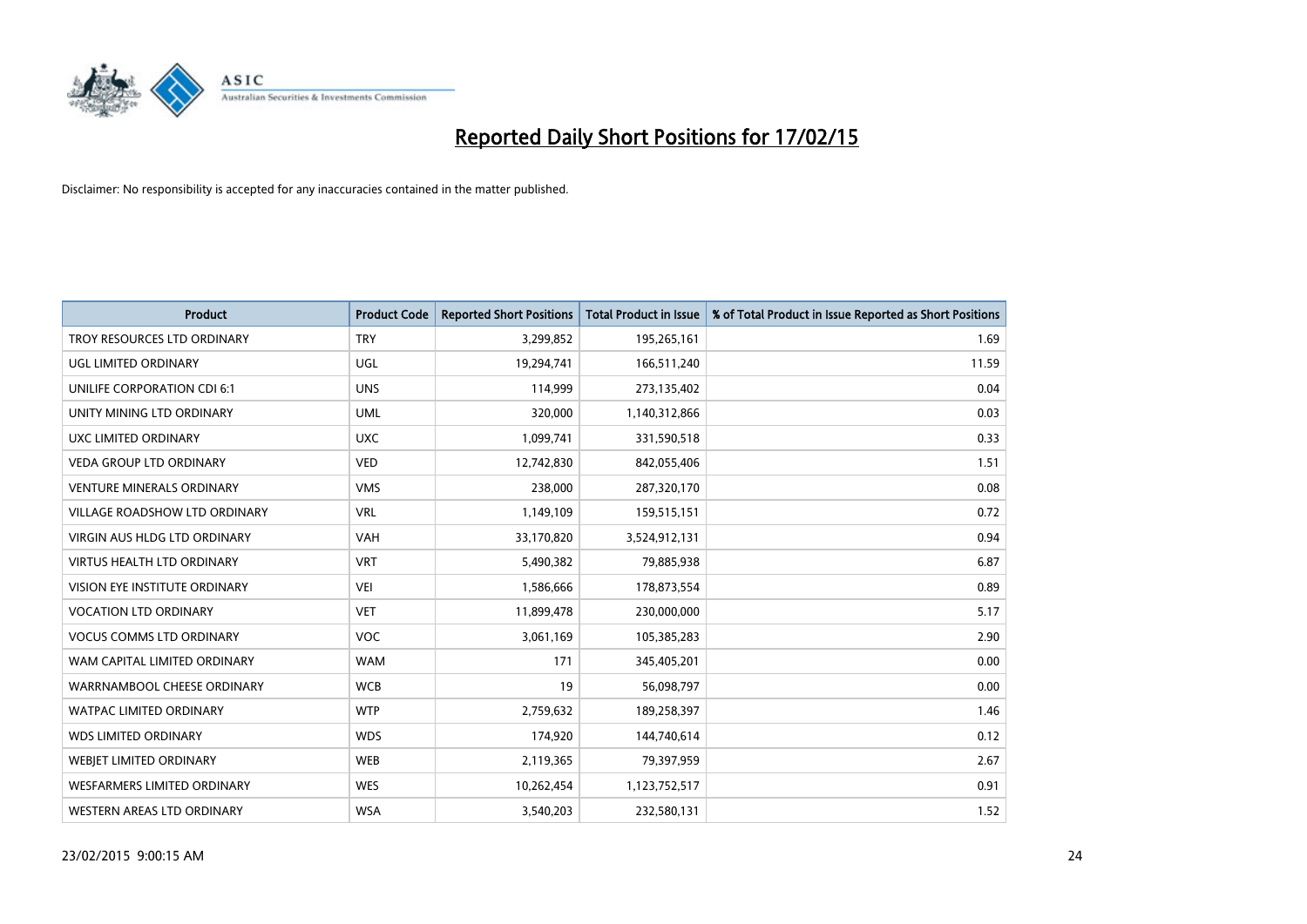

| <b>Product</b>                    | <b>Product Code</b> | <b>Reported Short Positions</b> | <b>Total Product in Issue</b> | % of Total Product in Issue Reported as Short Positions |
|-----------------------------------|---------------------|---------------------------------|-------------------------------|---------------------------------------------------------|
| TROY RESOURCES LTD ORDINARY       | <b>TRY</b>          | 3,299,852                       | 195,265,161                   | 1.69                                                    |
| UGL LIMITED ORDINARY              | UGL                 | 19,294,741                      | 166,511,240                   | 11.59                                                   |
| UNILIFE CORPORATION CDI 6:1       | <b>UNS</b>          | 114,999                         | 273,135,402                   | 0.04                                                    |
| UNITY MINING LTD ORDINARY         | <b>UML</b>          | 320,000                         | 1,140,312,866                 | 0.03                                                    |
| <b>UXC LIMITED ORDINARY</b>       | <b>UXC</b>          | 1,099,741                       | 331,590,518                   | 0.33                                                    |
| <b>VEDA GROUP LTD ORDINARY</b>    | <b>VED</b>          | 12,742,830                      | 842,055,406                   | 1.51                                                    |
| <b>VENTURE MINERALS ORDINARY</b>  | <b>VMS</b>          | 238,000                         | 287,320,170                   | 0.08                                                    |
| VILLAGE ROADSHOW LTD ORDINARY     | <b>VRL</b>          | 1,149,109                       | 159,515,151                   | 0.72                                                    |
| VIRGIN AUS HLDG LTD ORDINARY      | <b>VAH</b>          | 33,170,820                      | 3,524,912,131                 | 0.94                                                    |
| <b>VIRTUS HEALTH LTD ORDINARY</b> | <b>VRT</b>          | 5,490,382                       | 79,885,938                    | 6.87                                                    |
| VISION EYE INSTITUTE ORDINARY     | <b>VEI</b>          | 1,586,666                       | 178,873,554                   | 0.89                                                    |
| <b>VOCATION LTD ORDINARY</b>      | <b>VET</b>          | 11,899,478                      | 230,000,000                   | 5.17                                                    |
| <b>VOCUS COMMS LTD ORDINARY</b>   | <b>VOC</b>          | 3,061,169                       | 105,385,283                   | 2.90                                                    |
| WAM CAPITAL LIMITED ORDINARY      | <b>WAM</b>          | 171                             | 345,405,201                   | 0.00                                                    |
| WARRNAMBOOL CHEESE ORDINARY       | <b>WCB</b>          | 19                              | 56,098,797                    | 0.00                                                    |
| <b>WATPAC LIMITED ORDINARY</b>    | <b>WTP</b>          | 2,759,632                       | 189,258,397                   | 1.46                                                    |
| <b>WDS LIMITED ORDINARY</b>       | <b>WDS</b>          | 174,920                         | 144,740,614                   | 0.12                                                    |
| WEBJET LIMITED ORDINARY           | <b>WEB</b>          | 2,119,365                       | 79,397,959                    | 2.67                                                    |
| WESFARMERS LIMITED ORDINARY       | <b>WES</b>          | 10,262,454                      | 1,123,752,517                 | 0.91                                                    |
| WESTERN AREAS LTD ORDINARY        | <b>WSA</b>          | 3,540,203                       | 232,580,131                   | 1.52                                                    |